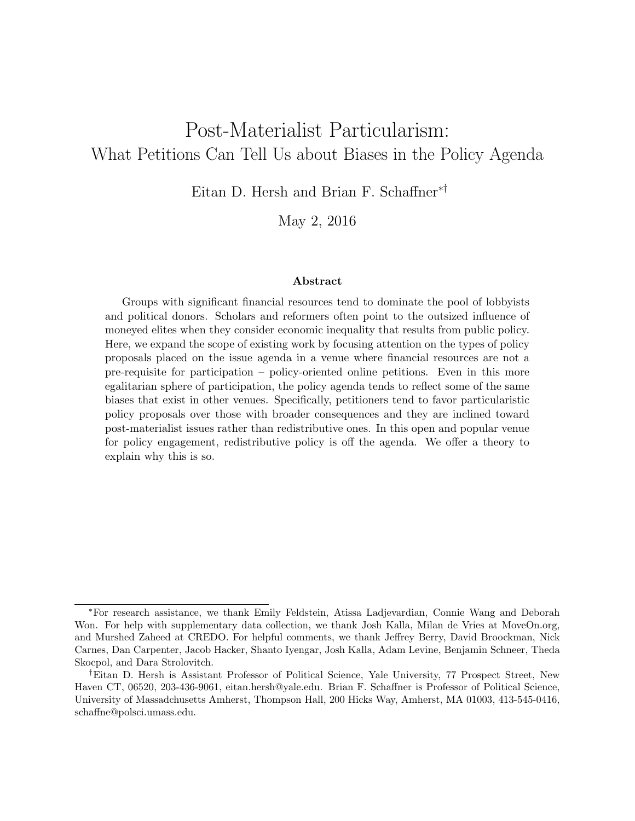# Post-Materialist Particularism: What Petitions Can Tell Us about Biases in the Policy Agenda

Eitan D. Hersh and Brian F. Schaffner∗†

May 2, 2016

#### Abstract

Groups with significant financial resources tend to dominate the pool of lobbyists and political donors. Scholars and reformers often point to the outsized influence of moneyed elites when they consider economic inequality that results from public policy. Here, we expand the scope of existing work by focusing attention on the types of policy proposals placed on the issue agenda in a venue where financial resources are not a pre-requisite for participation – policy-oriented online petitions. Even in this more egalitarian sphere of participation, the policy agenda tends to reflect some of the same biases that exist in other venues. Specifically, petitioners tend to favor particularistic policy proposals over those with broader consequences and they are inclined toward post-materialist issues rather than redistributive ones. In this open and popular venue for policy engagement, redistributive policy is off the agenda. We offer a theory to explain why this is so.

<sup>∗</sup>For research assistance, we thank Emily Feldstein, Atissa Ladjevardian, Connie Wang and Deborah Won. For help with supplementary data collection, we thank Josh Kalla, Milan de Vries at MoveOn.org, and Murshed Zaheed at CREDO. For helpful comments, we thank Jeffrey Berry, David Broockman, Nick Carnes, Dan Carpenter, Jacob Hacker, Shanto Iyengar, Josh Kalla, Adam Levine, Benjamin Schneer, Theda Skocpol, and Dara Strolovitch.

<sup>†</sup>Eitan D. Hersh is Assistant Professor of Political Science, Yale University, 77 Prospect Street, New Haven CT, 06520, 203-436-9061, eitan.hersh@yale.edu. Brian F. Schaffner is Professor of Political Science, University of Massadchusetts Amherst, Thompson Hall, 200 Hicks Way, Amherst, MA 01003, 413-545-0416, schaffne@polsci.umass.edu.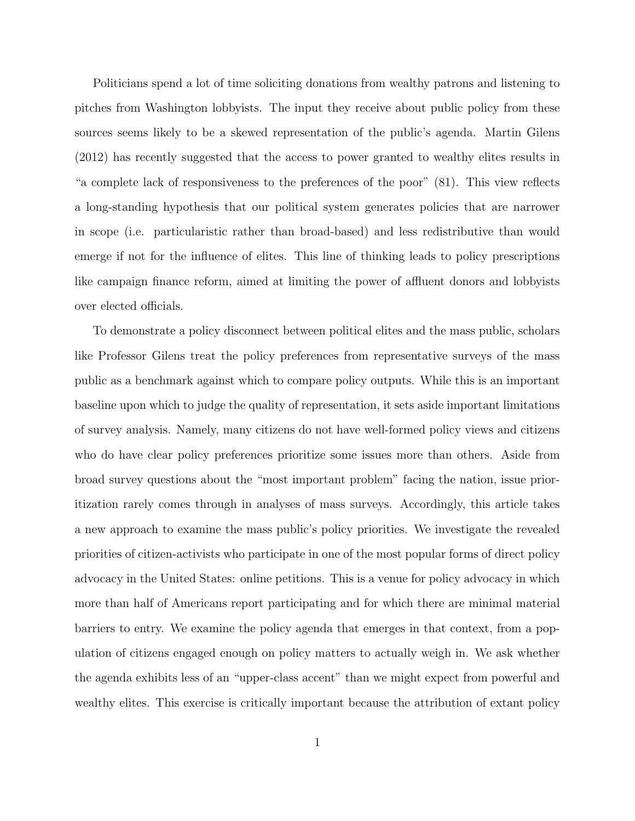Politicians spend a lot of time soliciting donations from wealthy patrons and listening to pitches from Washington lobbyists. The input they receive about public policy from these sources seems likely to be a skewed representation of the public's agenda. Martin Gilens (2012) has recently suggested that the access to power granted to wealthy elites results in "a complete lack of responsiveness to the preferences of the poor" (81). This view reflects a long-standing hypothesis that our political system generates policies that are narrower in scope (i.e. particularistic rather than broad-based) and less redistributive than would emerge if not for the influence of elites. This line of thinking leads to policy prescriptions like campaign finance reform, aimed at limiting the power of affluent donors and lobbyists over elected officials.

To demonstrate a policy disconnect between political elites and the mass public, scholars like Professor Gilens treat the policy preferences from representative surveys of the mass public as a benchmark against which to compare policy outputs. While this is an important baseline upon which to judge the quality of representation, it sets aside important limitations of survey analysis. Namely, many citizens do not have well-formed policy views and citizens who do have clear policy preferences prioritize some issues more than others. Aside from broad survey questions about the "most important problem" facing the nation, issue prioritization rarely comes through in analyses of mass surveys. Accordingly, this article takes a new approach to examine the mass public's policy priorities. We investigate the revealed priorities of citizen-activists who participate in one of the most popular forms of direct policy advocacy in the United States: online petitions. This is a venue for policy advocacy in which more than half of Americans report participating and for which there are minimal material barriers to entry. We examine the policy agenda that emerges in that context, from a population of citizens engaged enough on policy matters to actually weigh in. We ask whether the agenda exhibits less of an "upper-class accent" than we might expect from powerful and wealthy elites. This exercise is critically important because the attribution of extant policy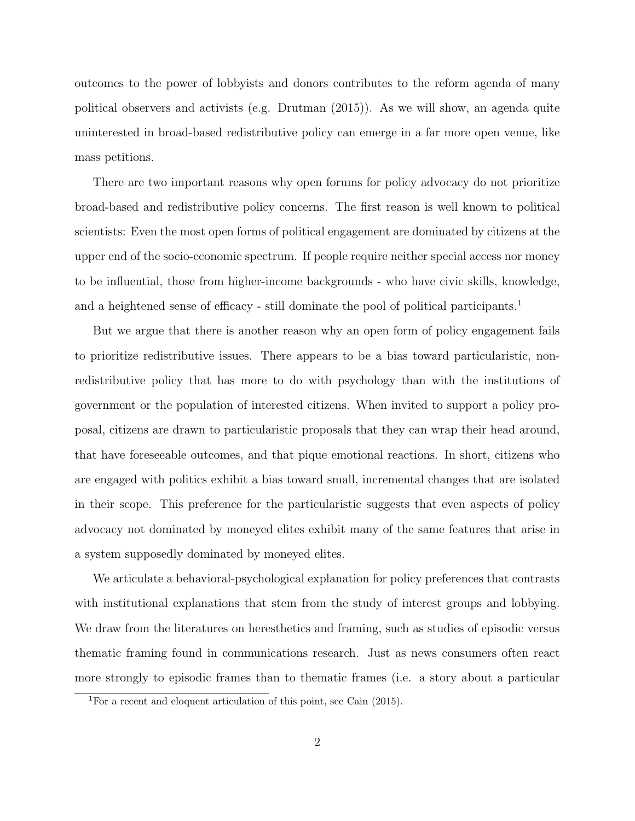outcomes to the power of lobbyists and donors contributes to the reform agenda of many political observers and activists (e.g. Drutman (2015)). As we will show, an agenda quite uninterested in broad-based redistributive policy can emerge in a far more open venue, like mass petitions.

There are two important reasons why open forums for policy advocacy do not prioritize broad-based and redistributive policy concerns. The first reason is well known to political scientists: Even the most open forms of political engagement are dominated by citizens at the upper end of the socio-economic spectrum. If people require neither special access nor money to be influential, those from higher-income backgrounds - who have civic skills, knowledge, and a heightened sense of efficacy - still dominate the pool of political participants.<sup>1</sup>

But we argue that there is another reason why an open form of policy engagement fails to prioritize redistributive issues. There appears to be a bias toward particularistic, nonredistributive policy that has more to do with psychology than with the institutions of government or the population of interested citizens. When invited to support a policy proposal, citizens are drawn to particularistic proposals that they can wrap their head around, that have foreseeable outcomes, and that pique emotional reactions. In short, citizens who are engaged with politics exhibit a bias toward small, incremental changes that are isolated in their scope. This preference for the particularistic suggests that even aspects of policy advocacy not dominated by moneyed elites exhibit many of the same features that arise in a system supposedly dominated by moneyed elites.

We articulate a behavioral-psychological explanation for policy preferences that contrasts with institutional explanations that stem from the study of interest groups and lobbying. We draw from the literatures on heresthetics and framing, such as studies of episodic versus thematic framing found in communications research. Just as news consumers often react more strongly to episodic frames than to thematic frames (i.e. a story about a particular

<sup>&</sup>lt;sup>1</sup>For a recent and eloquent articulation of this point, see Cain (2015).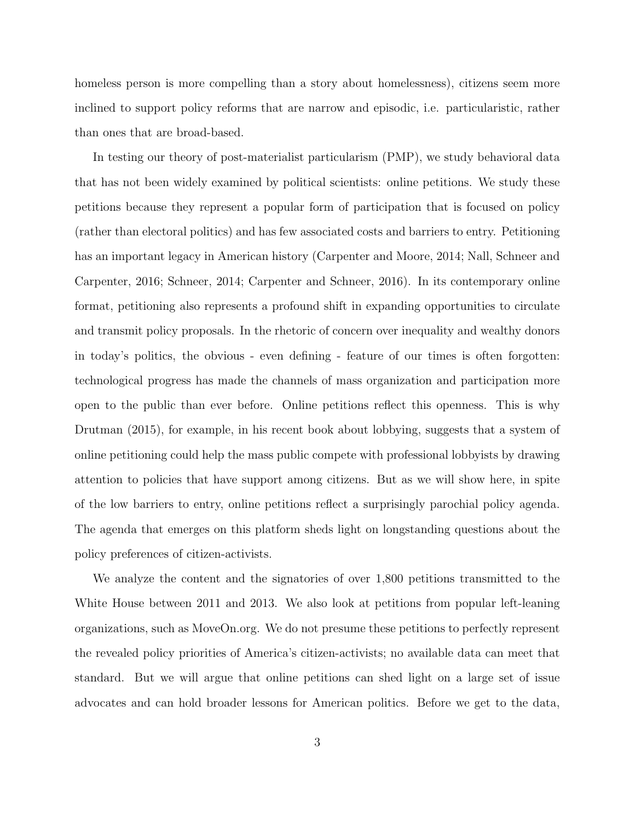homeless person is more compelling than a story about homelessness), citizens seem more inclined to support policy reforms that are narrow and episodic, i.e. particularistic, rather than ones that are broad-based.

In testing our theory of post-materialist particularism (PMP), we study behavioral data that has not been widely examined by political scientists: online petitions. We study these petitions because they represent a popular form of participation that is focused on policy (rather than electoral politics) and has few associated costs and barriers to entry. Petitioning has an important legacy in American history (Carpenter and Moore, 2014; Nall, Schneer and Carpenter, 2016; Schneer, 2014; Carpenter and Schneer, 2016). In its contemporary online format, petitioning also represents a profound shift in expanding opportunities to circulate and transmit policy proposals. In the rhetoric of concern over inequality and wealthy donors in today's politics, the obvious - even defining - feature of our times is often forgotten: technological progress has made the channels of mass organization and participation more open to the public than ever before. Online petitions reflect this openness. This is why Drutman (2015), for example, in his recent book about lobbying, suggests that a system of online petitioning could help the mass public compete with professional lobbyists by drawing attention to policies that have support among citizens. But as we will show here, in spite of the low barriers to entry, online petitions reflect a surprisingly parochial policy agenda. The agenda that emerges on this platform sheds light on longstanding questions about the policy preferences of citizen-activists.

We analyze the content and the signatories of over 1,800 petitions transmitted to the White House between 2011 and 2013. We also look at petitions from popular left-leaning organizations, such as MoveOn.org. We do not presume these petitions to perfectly represent the revealed policy priorities of America's citizen-activists; no available data can meet that standard. But we will argue that online petitions can shed light on a large set of issue advocates and can hold broader lessons for American politics. Before we get to the data,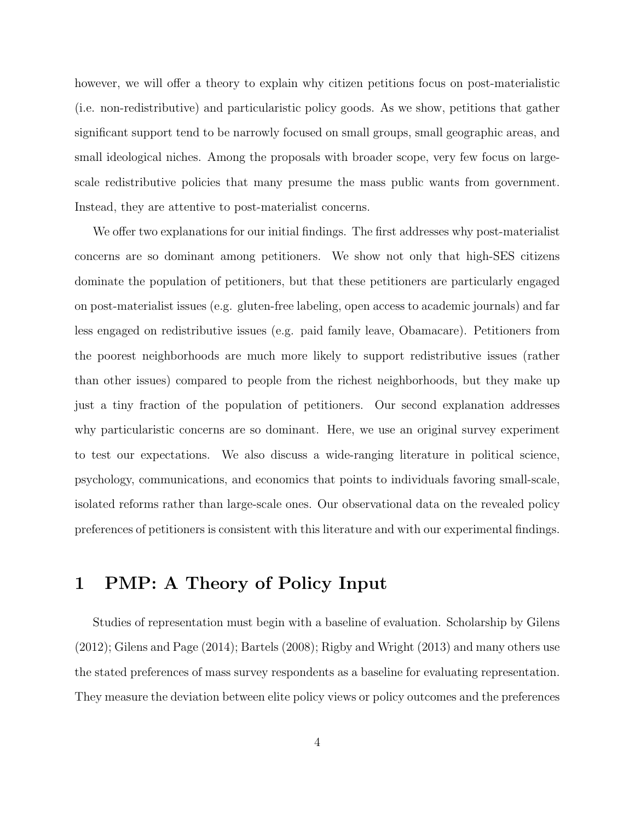however, we will offer a theory to explain why citizen petitions focus on post-materialistic (i.e. non-redistributive) and particularistic policy goods. As we show, petitions that gather significant support tend to be narrowly focused on small groups, small geographic areas, and small ideological niches. Among the proposals with broader scope, very few focus on largescale redistributive policies that many presume the mass public wants from government. Instead, they are attentive to post-materialist concerns.

We offer two explanations for our initial findings. The first addresses why post-materialist concerns are so dominant among petitioners. We show not only that high-SES citizens dominate the population of petitioners, but that these petitioners are particularly engaged on post-materialist issues (e.g. gluten-free labeling, open access to academic journals) and far less engaged on redistributive issues (e.g. paid family leave, Obamacare). Petitioners from the poorest neighborhoods are much more likely to support redistributive issues (rather than other issues) compared to people from the richest neighborhoods, but they make up just a tiny fraction of the population of petitioners. Our second explanation addresses why particularistic concerns are so dominant. Here, we use an original survey experiment to test our expectations. We also discuss a wide-ranging literature in political science, psychology, communications, and economics that points to individuals favoring small-scale, isolated reforms rather than large-scale ones. Our observational data on the revealed policy preferences of petitioners is consistent with this literature and with our experimental findings.

## 1 PMP: A Theory of Policy Input

Studies of representation must begin with a baseline of evaluation. Scholarship by Gilens (2012); Gilens and Page (2014); Bartels (2008); Rigby and Wright (2013) and many others use the stated preferences of mass survey respondents as a baseline for evaluating representation. They measure the deviation between elite policy views or policy outcomes and the preferences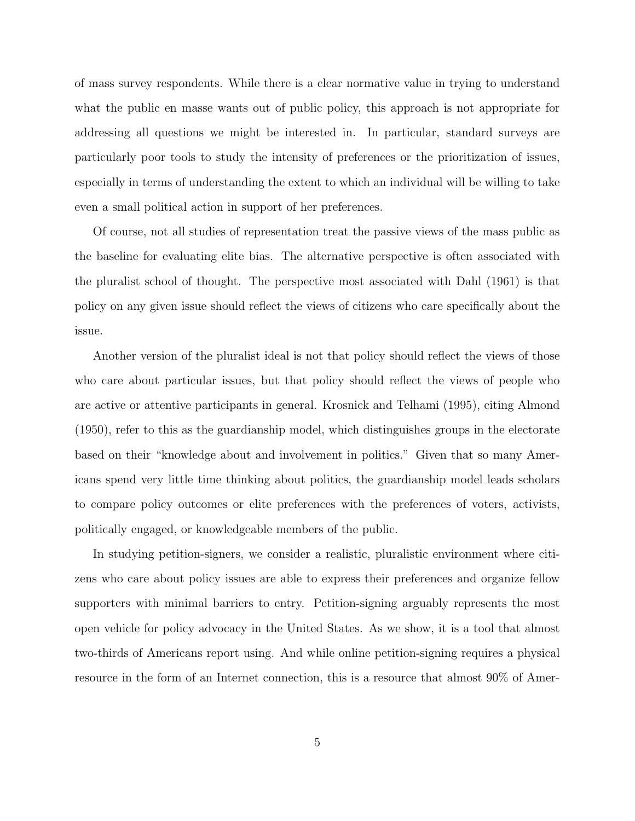of mass survey respondents. While there is a clear normative value in trying to understand what the public en masse wants out of public policy, this approach is not appropriate for addressing all questions we might be interested in. In particular, standard surveys are particularly poor tools to study the intensity of preferences or the prioritization of issues, especially in terms of understanding the extent to which an individual will be willing to take even a small political action in support of her preferences.

Of course, not all studies of representation treat the passive views of the mass public as the baseline for evaluating elite bias. The alternative perspective is often associated with the pluralist school of thought. The perspective most associated with Dahl (1961) is that policy on any given issue should reflect the views of citizens who care specifically about the issue.

Another version of the pluralist ideal is not that policy should reflect the views of those who care about particular issues, but that policy should reflect the views of people who are active or attentive participants in general. Krosnick and Telhami (1995), citing Almond (1950), refer to this as the guardianship model, which distinguishes groups in the electorate based on their "knowledge about and involvement in politics." Given that so many Americans spend very little time thinking about politics, the guardianship model leads scholars to compare policy outcomes or elite preferences with the preferences of voters, activists, politically engaged, or knowledgeable members of the public.

In studying petition-signers, we consider a realistic, pluralistic environment where citizens who care about policy issues are able to express their preferences and organize fellow supporters with minimal barriers to entry. Petition-signing arguably represents the most open vehicle for policy advocacy in the United States. As we show, it is a tool that almost two-thirds of Americans report using. And while online petition-signing requires a physical resource in the form of an Internet connection, this is a resource that almost 90% of Amer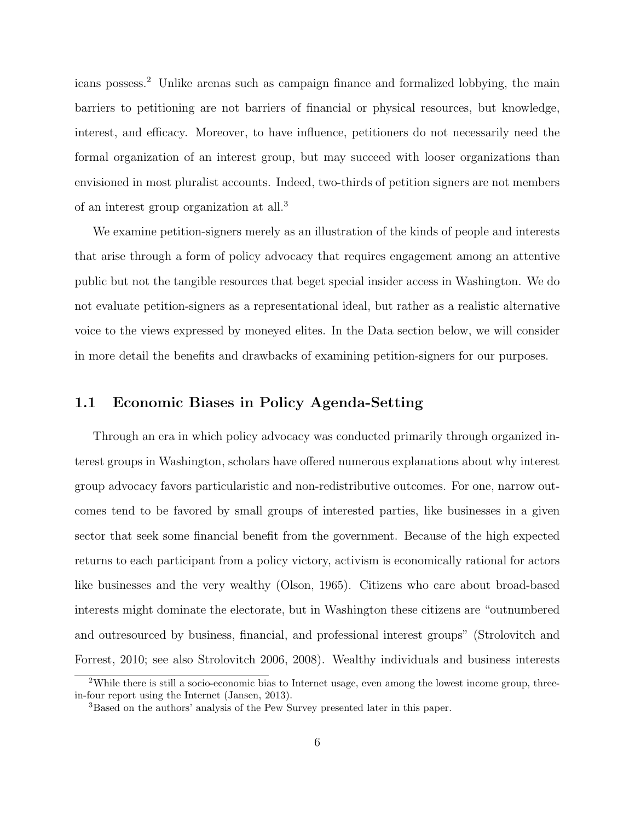icans possess.<sup>2</sup> Unlike arenas such as campaign finance and formalized lobbying, the main barriers to petitioning are not barriers of financial or physical resources, but knowledge, interest, and efficacy. Moreover, to have influence, petitioners do not necessarily need the formal organization of an interest group, but may succeed with looser organizations than envisioned in most pluralist accounts. Indeed, two-thirds of petition signers are not members of an interest group organization at all.<sup>3</sup>

We examine petition-signers merely as an illustration of the kinds of people and interests that arise through a form of policy advocacy that requires engagement among an attentive public but not the tangible resources that beget special insider access in Washington. We do not evaluate petition-signers as a representational ideal, but rather as a realistic alternative voice to the views expressed by moneyed elites. In the Data section below, we will consider in more detail the benefits and drawbacks of examining petition-signers for our purposes.

#### 1.1 Economic Biases in Policy Agenda-Setting

Through an era in which policy advocacy was conducted primarily through organized interest groups in Washington, scholars have offered numerous explanations about why interest group advocacy favors particularistic and non-redistributive outcomes. For one, narrow outcomes tend to be favored by small groups of interested parties, like businesses in a given sector that seek some financial benefit from the government. Because of the high expected returns to each participant from a policy victory, activism is economically rational for actors like businesses and the very wealthy (Olson, 1965). Citizens who care about broad-based interests might dominate the electorate, but in Washington these citizens are "outnumbered and outresourced by business, financial, and professional interest groups" (Strolovitch and Forrest, 2010; see also Strolovitch 2006, 2008). Wealthy individuals and business interests

<sup>&</sup>lt;sup>2</sup>While there is still a socio-economic bias to Internet usage, even among the lowest income group, threein-four report using the Internet (Jansen, 2013).

<sup>3</sup>Based on the authors' analysis of the Pew Survey presented later in this paper.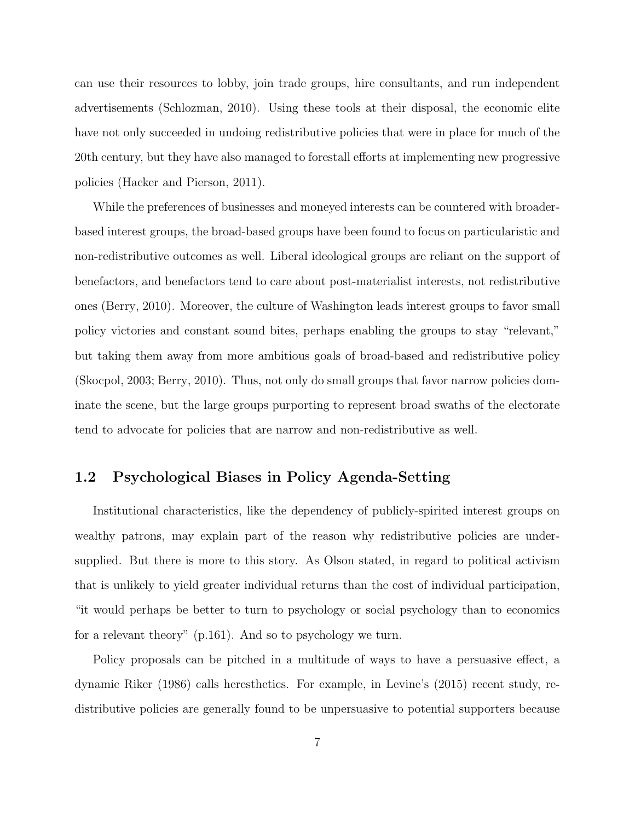can use their resources to lobby, join trade groups, hire consultants, and run independent advertisements (Schlozman, 2010). Using these tools at their disposal, the economic elite have not only succeeded in undoing redistributive policies that were in place for much of the 20th century, but they have also managed to forestall efforts at implementing new progressive policies (Hacker and Pierson, 2011).

While the preferences of businesses and moneyed interests can be countered with broaderbased interest groups, the broad-based groups have been found to focus on particularistic and non-redistributive outcomes as well. Liberal ideological groups are reliant on the support of benefactors, and benefactors tend to care about post-materialist interests, not redistributive ones (Berry, 2010). Moreover, the culture of Washington leads interest groups to favor small policy victories and constant sound bites, perhaps enabling the groups to stay "relevant," but taking them away from more ambitious goals of broad-based and redistributive policy (Skocpol, 2003; Berry, 2010). Thus, not only do small groups that favor narrow policies dominate the scene, but the large groups purporting to represent broad swaths of the electorate tend to advocate for policies that are narrow and non-redistributive as well.

#### 1.2 Psychological Biases in Policy Agenda-Setting

Institutional characteristics, like the dependency of publicly-spirited interest groups on wealthy patrons, may explain part of the reason why redistributive policies are undersupplied. But there is more to this story. As Olson stated, in regard to political activism that is unlikely to yield greater individual returns than the cost of individual participation, "it would perhaps be better to turn to psychology or social psychology than to economics for a relevant theory" (p.161). And so to psychology we turn.

Policy proposals can be pitched in a multitude of ways to have a persuasive effect, a dynamic Riker (1986) calls heresthetics. For example, in Levine's (2015) recent study, redistributive policies are generally found to be unpersuasive to potential supporters because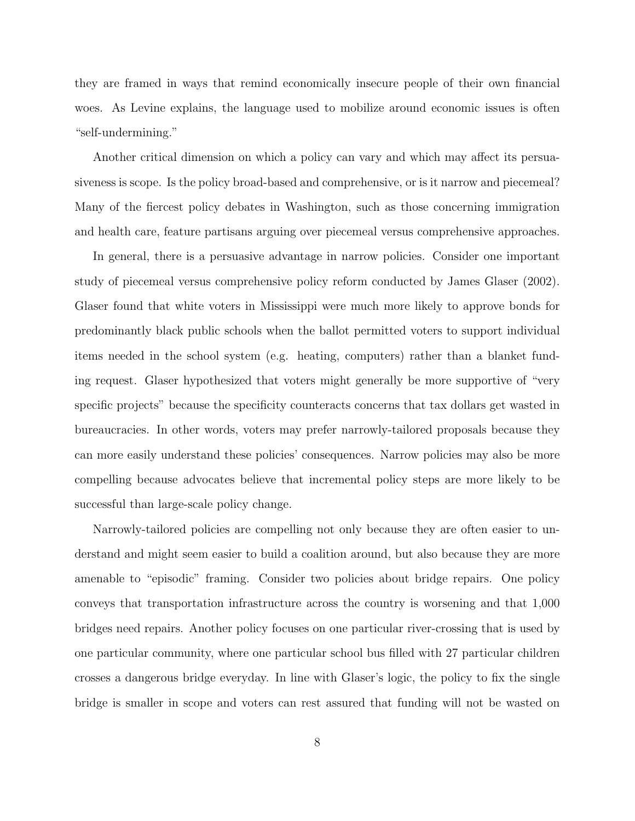they are framed in ways that remind economically insecure people of their own financial woes. As Levine explains, the language used to mobilize around economic issues is often "self-undermining."

Another critical dimension on which a policy can vary and which may affect its persuasiveness is scope. Is the policy broad-based and comprehensive, or is it narrow and piecemeal? Many of the fiercest policy debates in Washington, such as those concerning immigration and health care, feature partisans arguing over piecemeal versus comprehensive approaches.

In general, there is a persuasive advantage in narrow policies. Consider one important study of piecemeal versus comprehensive policy reform conducted by James Glaser (2002). Glaser found that white voters in Mississippi were much more likely to approve bonds for predominantly black public schools when the ballot permitted voters to support individual items needed in the school system (e.g. heating, computers) rather than a blanket funding request. Glaser hypothesized that voters might generally be more supportive of "very specific projects" because the specificity counteracts concerns that tax dollars get wasted in bureaucracies. In other words, voters may prefer narrowly-tailored proposals because they can more easily understand these policies' consequences. Narrow policies may also be more compelling because advocates believe that incremental policy steps are more likely to be successful than large-scale policy change.

Narrowly-tailored policies are compelling not only because they are often easier to understand and might seem easier to build a coalition around, but also because they are more amenable to "episodic" framing. Consider two policies about bridge repairs. One policy conveys that transportation infrastructure across the country is worsening and that 1,000 bridges need repairs. Another policy focuses on one particular river-crossing that is used by one particular community, where one particular school bus filled with 27 particular children crosses a dangerous bridge everyday. In line with Glaser's logic, the policy to fix the single bridge is smaller in scope and voters can rest assured that funding will not be wasted on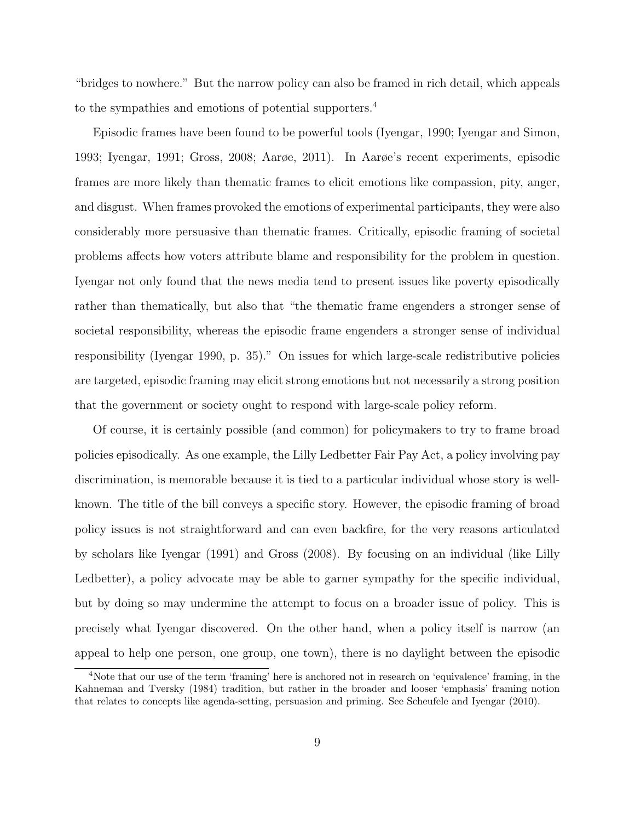"bridges to nowhere." But the narrow policy can also be framed in rich detail, which appeals to the sympathies and emotions of potential supporters.<sup>4</sup>

Episodic frames have been found to be powerful tools (Iyengar, 1990; Iyengar and Simon, 1993; Iyengar, 1991; Gross, 2008; Aarøe, 2011). In Aarøe's recent experiments, episodic frames are more likely than thematic frames to elicit emotions like compassion, pity, anger, and disgust. When frames provoked the emotions of experimental participants, they were also considerably more persuasive than thematic frames. Critically, episodic framing of societal problems affects how voters attribute blame and responsibility for the problem in question. Iyengar not only found that the news media tend to present issues like poverty episodically rather than thematically, but also that "the thematic frame engenders a stronger sense of societal responsibility, whereas the episodic frame engenders a stronger sense of individual responsibility (Iyengar 1990, p. 35)." On issues for which large-scale redistributive policies are targeted, episodic framing may elicit strong emotions but not necessarily a strong position that the government or society ought to respond with large-scale policy reform.

Of course, it is certainly possible (and common) for policymakers to try to frame broad policies episodically. As one example, the Lilly Ledbetter Fair Pay Act, a policy involving pay discrimination, is memorable because it is tied to a particular individual whose story is wellknown. The title of the bill conveys a specific story. However, the episodic framing of broad policy issues is not straightforward and can even backfire, for the very reasons articulated by scholars like Iyengar (1991) and Gross (2008). By focusing on an individual (like Lilly Ledbetter), a policy advocate may be able to garner sympathy for the specific individual, but by doing so may undermine the attempt to focus on a broader issue of policy. This is precisely what Iyengar discovered. On the other hand, when a policy itself is narrow (an appeal to help one person, one group, one town), there is no daylight between the episodic

<sup>4</sup>Note that our use of the term 'framing' here is anchored not in research on 'equivalence' framing, in the Kahneman and Tversky (1984) tradition, but rather in the broader and looser 'emphasis' framing notion that relates to concepts like agenda-setting, persuasion and priming. See Scheufele and Iyengar (2010).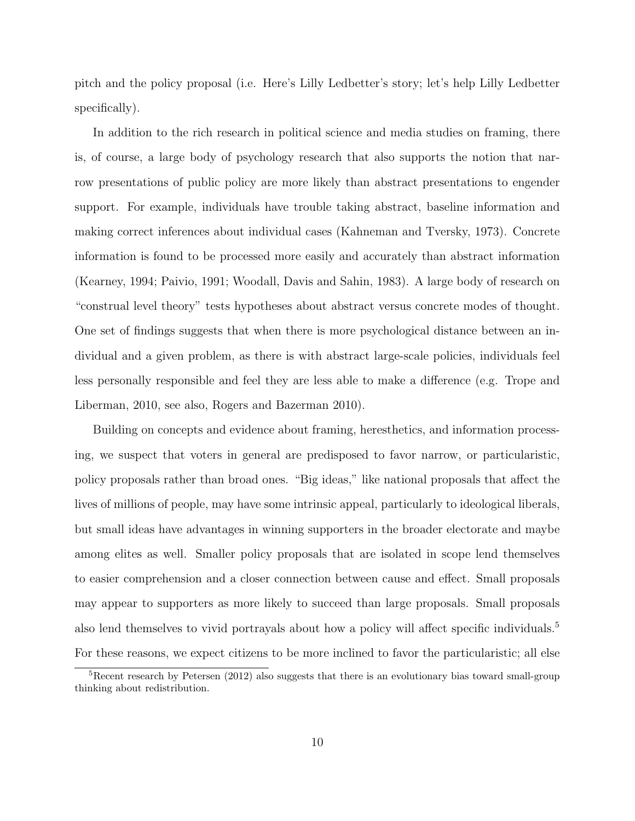pitch and the policy proposal (i.e. Here's Lilly Ledbetter's story; let's help Lilly Ledbetter specifically).

In addition to the rich research in political science and media studies on framing, there is, of course, a large body of psychology research that also supports the notion that narrow presentations of public policy are more likely than abstract presentations to engender support. For example, individuals have trouble taking abstract, baseline information and making correct inferences about individual cases (Kahneman and Tversky, 1973). Concrete information is found to be processed more easily and accurately than abstract information (Kearney, 1994; Paivio, 1991; Woodall, Davis and Sahin, 1983). A large body of research on "construal level theory" tests hypotheses about abstract versus concrete modes of thought. One set of findings suggests that when there is more psychological distance between an individual and a given problem, as there is with abstract large-scale policies, individuals feel less personally responsible and feel they are less able to make a difference (e.g. Trope and Liberman, 2010, see also, Rogers and Bazerman 2010).

Building on concepts and evidence about framing, heresthetics, and information processing, we suspect that voters in general are predisposed to favor narrow, or particularistic, policy proposals rather than broad ones. "Big ideas," like national proposals that affect the lives of millions of people, may have some intrinsic appeal, particularly to ideological liberals, but small ideas have advantages in winning supporters in the broader electorate and maybe among elites as well. Smaller policy proposals that are isolated in scope lend themselves to easier comprehension and a closer connection between cause and effect. Small proposals may appear to supporters as more likely to succeed than large proposals. Small proposals also lend themselves to vivid portrayals about how a policy will affect specific individuals.<sup>5</sup> For these reasons, we expect citizens to be more inclined to favor the particularistic; all else

<sup>&</sup>lt;sup>5</sup>Recent research by Petersen (2012) also suggests that there is an evolutionary bias toward small-group thinking about redistribution.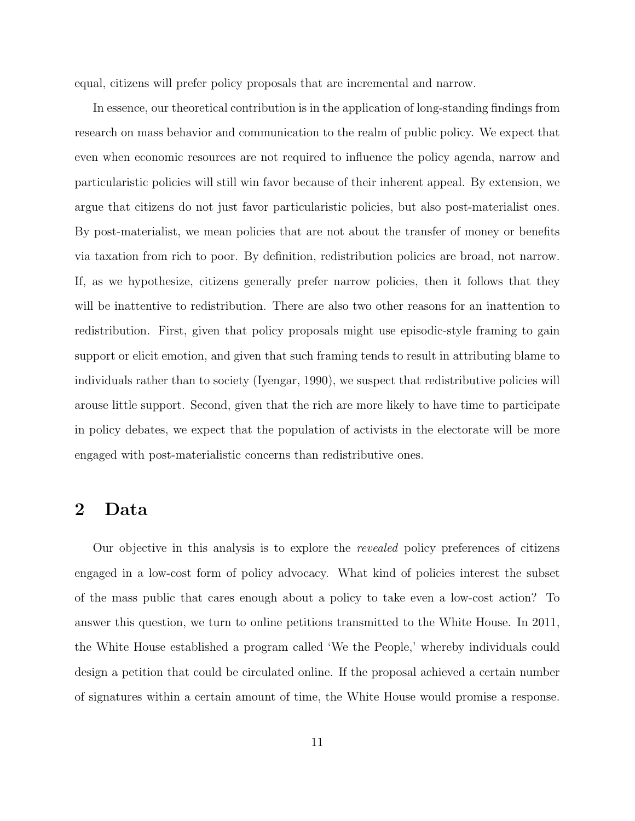equal, citizens will prefer policy proposals that are incremental and narrow.

In essence, our theoretical contribution is in the application of long-standing findings from research on mass behavior and communication to the realm of public policy. We expect that even when economic resources are not required to influence the policy agenda, narrow and particularistic policies will still win favor because of their inherent appeal. By extension, we argue that citizens do not just favor particularistic policies, but also post-materialist ones. By post-materialist, we mean policies that are not about the transfer of money or benefits via taxation from rich to poor. By definition, redistribution policies are broad, not narrow. If, as we hypothesize, citizens generally prefer narrow policies, then it follows that they will be inattentive to redistribution. There are also two other reasons for an inattention to redistribution. First, given that policy proposals might use episodic-style framing to gain support or elicit emotion, and given that such framing tends to result in attributing blame to individuals rather than to society (Iyengar, 1990), we suspect that redistributive policies will arouse little support. Second, given that the rich are more likely to have time to participate in policy debates, we expect that the population of activists in the electorate will be more engaged with post-materialistic concerns than redistributive ones.

### 2 Data

Our objective in this analysis is to explore the *revealed* policy preferences of citizens engaged in a low-cost form of policy advocacy. What kind of policies interest the subset of the mass public that cares enough about a policy to take even a low-cost action? To answer this question, we turn to online petitions transmitted to the White House. In 2011, the White House established a program called 'We the People,' whereby individuals could design a petition that could be circulated online. If the proposal achieved a certain number of signatures within a certain amount of time, the White House would promise a response.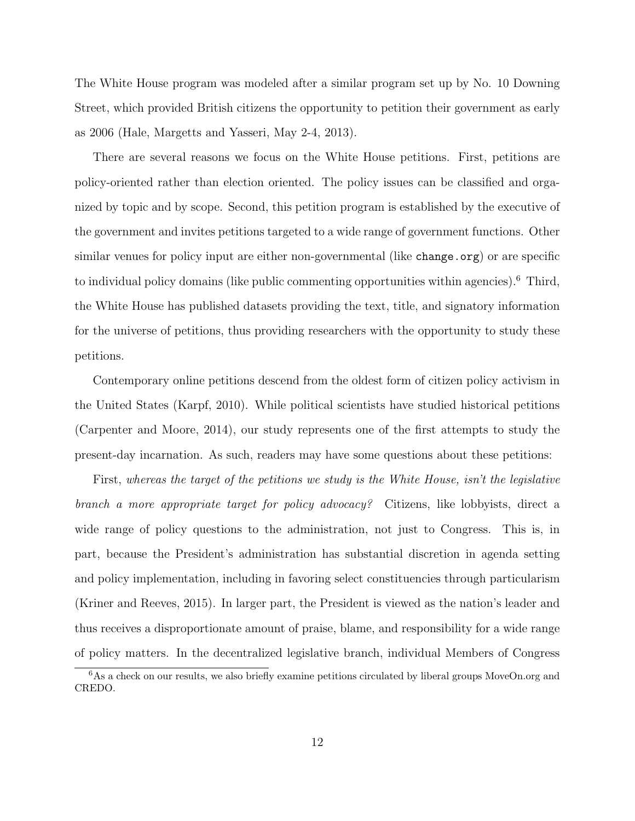The White House program was modeled after a similar program set up by No. 10 Downing Street, which provided British citizens the opportunity to petition their government as early as 2006 (Hale, Margetts and Yasseri, May 2-4, 2013).

There are several reasons we focus on the White House petitions. First, petitions are policy-oriented rather than election oriented. The policy issues can be classified and organized by topic and by scope. Second, this petition program is established by the executive of the government and invites petitions targeted to a wide range of government functions. Other similar venues for policy input are either non-governmental (like change.org) or are specific to individual policy domains (like public commenting opportunities within agencies).<sup>6</sup> Third, the White House has published datasets providing the text, title, and signatory information for the universe of petitions, thus providing researchers with the opportunity to study these petitions.

Contemporary online petitions descend from the oldest form of citizen policy activism in the United States (Karpf, 2010). While political scientists have studied historical petitions (Carpenter and Moore, 2014), our study represents one of the first attempts to study the present-day incarnation. As such, readers may have some questions about these petitions:

First, whereas the target of the petitions we study is the White House, isn't the legislative branch a more appropriate target for policy advocacy? Citizens, like lobbyists, direct a wide range of policy questions to the administration, not just to Congress. This is, in part, because the President's administration has substantial discretion in agenda setting and policy implementation, including in favoring select constituencies through particularism (Kriner and Reeves, 2015). In larger part, the President is viewed as the nation's leader and thus receives a disproportionate amount of praise, blame, and responsibility for a wide range of policy matters. In the decentralized legislative branch, individual Members of Congress

<sup>&</sup>lt;sup>6</sup>As a check on our results, we also briefly examine petitions circulated by liberal groups MoveOn.org and CREDO.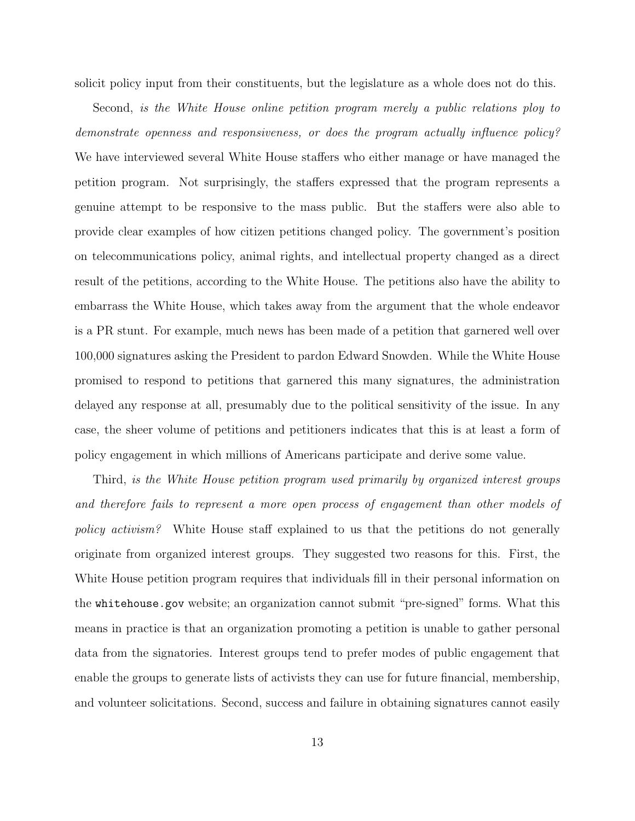solicit policy input from their constituents, but the legislature as a whole does not do this.

Second, is the White House online petition program merely a public relations ploy to demonstrate openness and responsiveness, or does the program actually influence policy? We have interviewed several White House staffers who either manage or have managed the petition program. Not surprisingly, the staffers expressed that the program represents a genuine attempt to be responsive to the mass public. But the staffers were also able to provide clear examples of how citizen petitions changed policy. The government's position on telecommunications policy, animal rights, and intellectual property changed as a direct result of the petitions, according to the White House. The petitions also have the ability to embarrass the White House, which takes away from the argument that the whole endeavor is a PR stunt. For example, much news has been made of a petition that garnered well over 100,000 signatures asking the President to pardon Edward Snowden. While the White House promised to respond to petitions that garnered this many signatures, the administration delayed any response at all, presumably due to the political sensitivity of the issue. In any case, the sheer volume of petitions and petitioners indicates that this is at least a form of policy engagement in which millions of Americans participate and derive some value.

Third, is the White House petition program used primarily by organized interest groups and therefore fails to represent a more open process of engagement than other models of policy activism? White House staff explained to us that the petitions do not generally originate from organized interest groups. They suggested two reasons for this. First, the White House petition program requires that individuals fill in their personal information on the whitehouse.gov website; an organization cannot submit "pre-signed" forms. What this means in practice is that an organization promoting a petition is unable to gather personal data from the signatories. Interest groups tend to prefer modes of public engagement that enable the groups to generate lists of activists they can use for future financial, membership, and volunteer solicitations. Second, success and failure in obtaining signatures cannot easily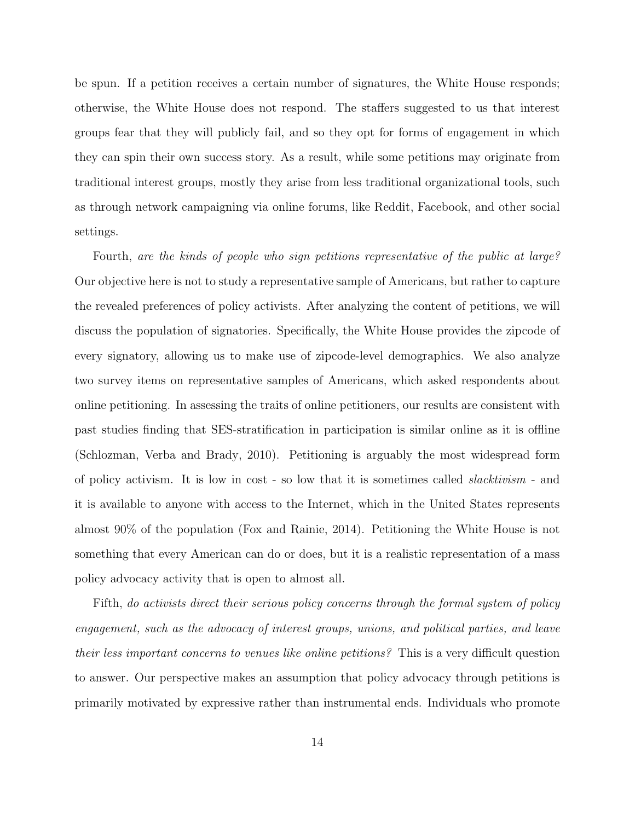be spun. If a petition receives a certain number of signatures, the White House responds; otherwise, the White House does not respond. The staffers suggested to us that interest groups fear that they will publicly fail, and so they opt for forms of engagement in which they can spin their own success story. As a result, while some petitions may originate from traditional interest groups, mostly they arise from less traditional organizational tools, such as through network campaigning via online forums, like Reddit, Facebook, and other social settings.

Fourth, are the kinds of people who sign petitions representative of the public at large? Our objective here is not to study a representative sample of Americans, but rather to capture the revealed preferences of policy activists. After analyzing the content of petitions, we will discuss the population of signatories. Specifically, the White House provides the zipcode of every signatory, allowing us to make use of zipcode-level demographics. We also analyze two survey items on representative samples of Americans, which asked respondents about online petitioning. In assessing the traits of online petitioners, our results are consistent with past studies finding that SES-stratification in participation is similar online as it is offline (Schlozman, Verba and Brady, 2010). Petitioning is arguably the most widespread form of policy activism. It is low in cost - so low that it is sometimes called slacktivism - and it is available to anyone with access to the Internet, which in the United States represents almost 90% of the population (Fox and Rainie, 2014). Petitioning the White House is not something that every American can do or does, but it is a realistic representation of a mass policy advocacy activity that is open to almost all.

Fifth, do activists direct their serious policy concerns through the formal system of policy engagement, such as the advocacy of interest groups, unions, and political parties, and leave their less important concerns to venues like online petitions? This is a very difficult question to answer. Our perspective makes an assumption that policy advocacy through petitions is primarily motivated by expressive rather than instrumental ends. Individuals who promote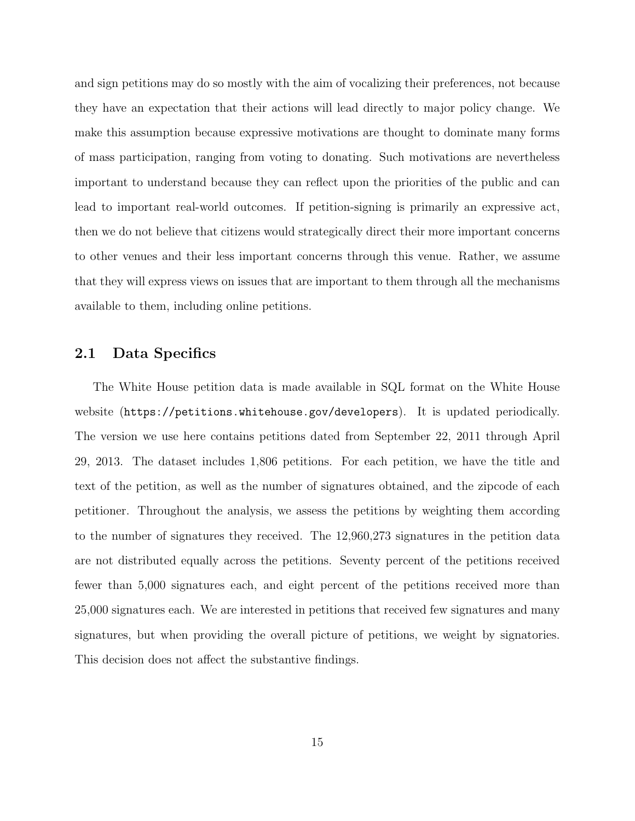and sign petitions may do so mostly with the aim of vocalizing their preferences, not because they have an expectation that their actions will lead directly to major policy change. We make this assumption because expressive motivations are thought to dominate many forms of mass participation, ranging from voting to donating. Such motivations are nevertheless important to understand because they can reflect upon the priorities of the public and can lead to important real-world outcomes. If petition-signing is primarily an expressive act, then we do not believe that citizens would strategically direct their more important concerns to other venues and their less important concerns through this venue. Rather, we assume that they will express views on issues that are important to them through all the mechanisms available to them, including online petitions.

#### 2.1 Data Specifics

The White House petition data is made available in SQL format on the White House website (https://petitions.whitehouse.gov/developers). It is updated periodically. The version we use here contains petitions dated from September 22, 2011 through April 29, 2013. The dataset includes 1,806 petitions. For each petition, we have the title and text of the petition, as well as the number of signatures obtained, and the zipcode of each petitioner. Throughout the analysis, we assess the petitions by weighting them according to the number of signatures they received. The 12,960,273 signatures in the petition data are not distributed equally across the petitions. Seventy percent of the petitions received fewer than 5,000 signatures each, and eight percent of the petitions received more than 25,000 signatures each. We are interested in petitions that received few signatures and many signatures, but when providing the overall picture of petitions, we weight by signatories. This decision does not affect the substantive findings.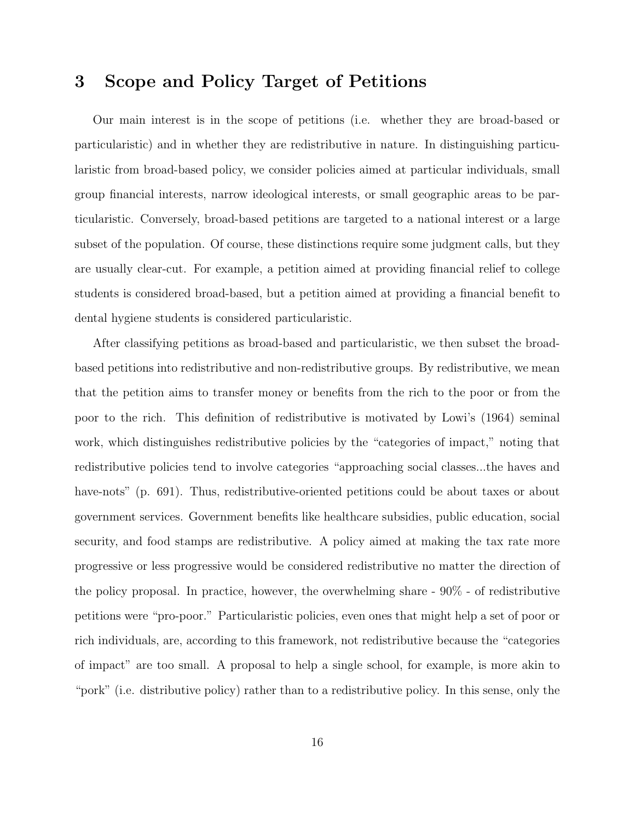### 3 Scope and Policy Target of Petitions

Our main interest is in the scope of petitions (i.e. whether they are broad-based or particularistic) and in whether they are redistributive in nature. In distinguishing particularistic from broad-based policy, we consider policies aimed at particular individuals, small group financial interests, narrow ideological interests, or small geographic areas to be particularistic. Conversely, broad-based petitions are targeted to a national interest or a large subset of the population. Of course, these distinctions require some judgment calls, but they are usually clear-cut. For example, a petition aimed at providing financial relief to college students is considered broad-based, but a petition aimed at providing a financial benefit to dental hygiene students is considered particularistic.

After classifying petitions as broad-based and particularistic, we then subset the broadbased petitions into redistributive and non-redistributive groups. By redistributive, we mean that the petition aims to transfer money or benefits from the rich to the poor or from the poor to the rich. This definition of redistributive is motivated by Lowi's (1964) seminal work, which distinguishes redistributive policies by the "categories of impact," noting that redistributive policies tend to involve categories "approaching social classes...the haves and have-nots" (p. 691). Thus, redistributive-oriented petitions could be about taxes or about government services. Government benefits like healthcare subsidies, public education, social security, and food stamps are redistributive. A policy aimed at making the tax rate more progressive or less progressive would be considered redistributive no matter the direction of the policy proposal. In practice, however, the overwhelming share - 90% - of redistributive petitions were "pro-poor." Particularistic policies, even ones that might help a set of poor or rich individuals, are, according to this framework, not redistributive because the "categories of impact" are too small. A proposal to help a single school, for example, is more akin to "pork" (i.e. distributive policy) rather than to a redistributive policy. In this sense, only the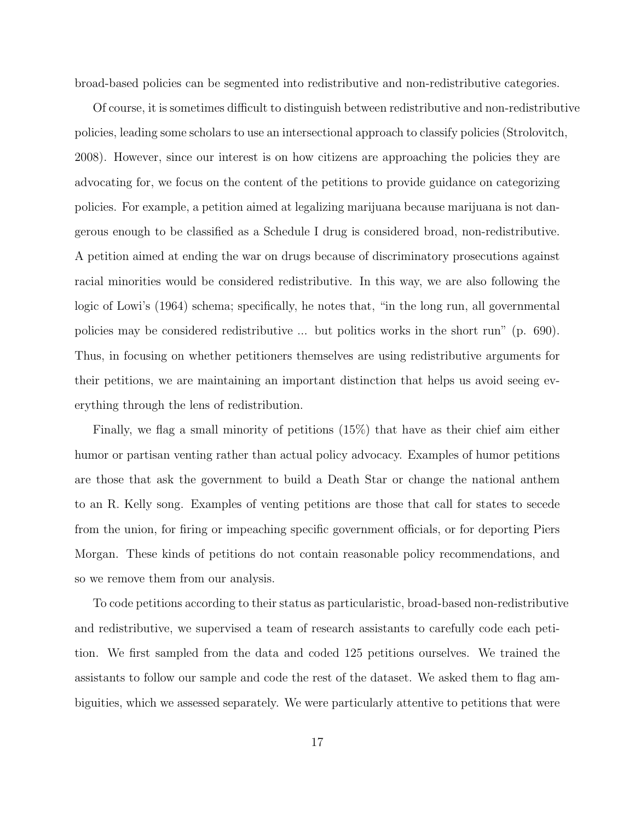broad-based policies can be segmented into redistributive and non-redistributive categories.

Of course, it is sometimes difficult to distinguish between redistributive and non-redistributive policies, leading some scholars to use an intersectional approach to classify policies (Strolovitch, 2008). However, since our interest is on how citizens are approaching the policies they are advocating for, we focus on the content of the petitions to provide guidance on categorizing policies. For example, a petition aimed at legalizing marijuana because marijuana is not dangerous enough to be classified as a Schedule I drug is considered broad, non-redistributive. A petition aimed at ending the war on drugs because of discriminatory prosecutions against racial minorities would be considered redistributive. In this way, we are also following the logic of Lowi's (1964) schema; specifically, he notes that, "in the long run, all governmental policies may be considered redistributive ... but politics works in the short run" (p. 690). Thus, in focusing on whether petitioners themselves are using redistributive arguments for their petitions, we are maintaining an important distinction that helps us avoid seeing everything through the lens of redistribution.

Finally, we flag a small minority of petitions (15%) that have as their chief aim either humor or partisan venting rather than actual policy advocacy. Examples of humor petitions are those that ask the government to build a Death Star or change the national anthem to an R. Kelly song. Examples of venting petitions are those that call for states to secede from the union, for firing or impeaching specific government officials, or for deporting Piers Morgan. These kinds of petitions do not contain reasonable policy recommendations, and so we remove them from our analysis.

To code petitions according to their status as particularistic, broad-based non-redistributive and redistributive, we supervised a team of research assistants to carefully code each petition. We first sampled from the data and coded 125 petitions ourselves. We trained the assistants to follow our sample and code the rest of the dataset. We asked them to flag ambiguities, which we assessed separately. We were particularly attentive to petitions that were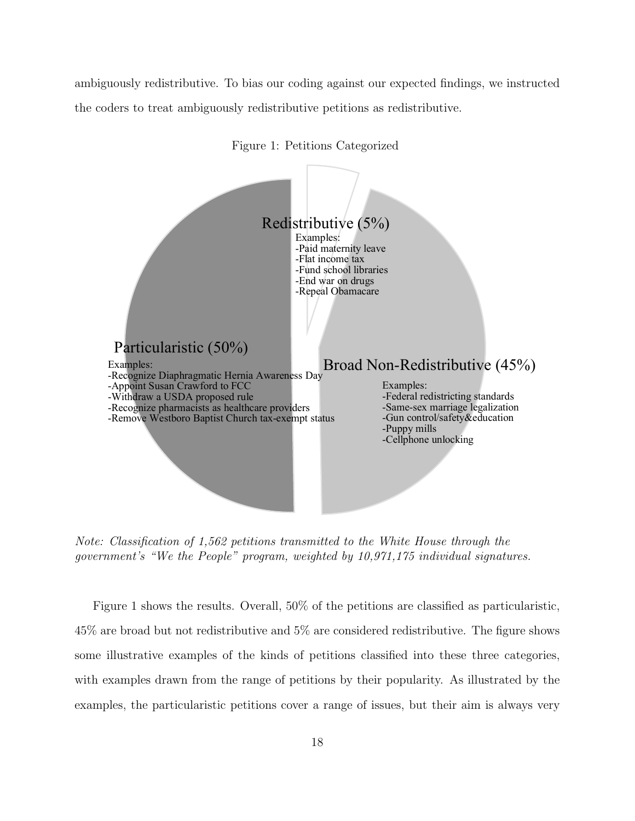ambiguously redistributive. To bias our coding against our expected findings, we instructed the coders to treat ambiguously redistributive petitions as redistributive.



Note: Classification of 1,562 petitions transmitted to the White House through the government's "We the People" program, weighted by 10,971,175 individual signatures.

Figure 1 shows the results. Overall, 50% of the petitions are classified as particularistic, 45% are broad but not redistributive and 5% are considered redistributive. The figure shows some illustrative examples of the kinds of petitions classified into these three categories, with examples drawn from the range of petitions by their popularity. As illustrated by the examples, the particularistic petitions cover a range of issues, but their aim is always very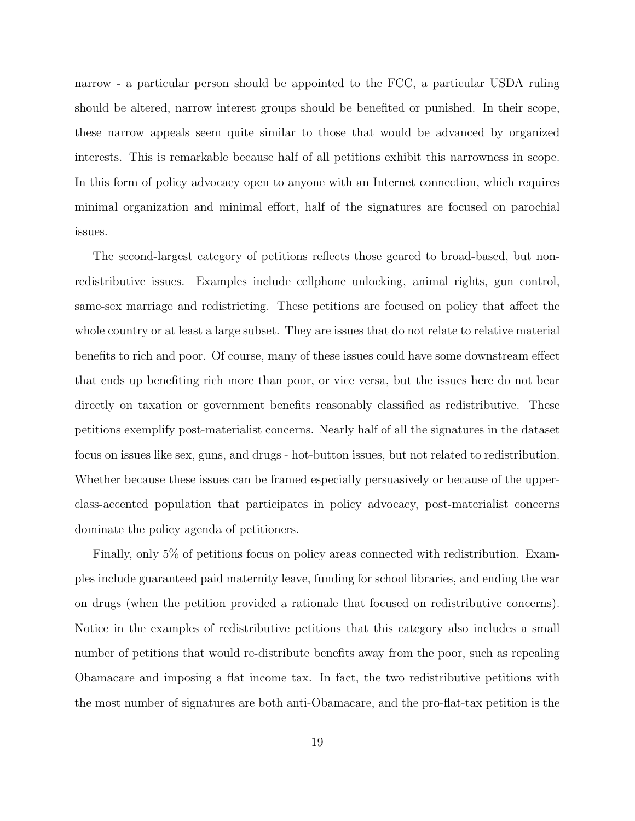narrow - a particular person should be appointed to the FCC, a particular USDA ruling should be altered, narrow interest groups should be benefited or punished. In their scope, these narrow appeals seem quite similar to those that would be advanced by organized interests. This is remarkable because half of all petitions exhibit this narrowness in scope. In this form of policy advocacy open to anyone with an Internet connection, which requires minimal organization and minimal effort, half of the signatures are focused on parochial issues.

The second-largest category of petitions reflects those geared to broad-based, but nonredistributive issues. Examples include cellphone unlocking, animal rights, gun control, same-sex marriage and redistricting. These petitions are focused on policy that affect the whole country or at least a large subset. They are issues that do not relate to relative material benefits to rich and poor. Of course, many of these issues could have some downstream effect that ends up benefiting rich more than poor, or vice versa, but the issues here do not bear directly on taxation or government benefits reasonably classified as redistributive. These petitions exemplify post-materialist concerns. Nearly half of all the signatures in the dataset focus on issues like sex, guns, and drugs - hot-button issues, but not related to redistribution. Whether because these issues can be framed especially persuasively or because of the upperclass-accented population that participates in policy advocacy, post-materialist concerns dominate the policy agenda of petitioners.

Finally, only 5% of petitions focus on policy areas connected with redistribution. Examples include guaranteed paid maternity leave, funding for school libraries, and ending the war on drugs (when the petition provided a rationale that focused on redistributive concerns). Notice in the examples of redistributive petitions that this category also includes a small number of petitions that would re-distribute benefits away from the poor, such as repealing Obamacare and imposing a flat income tax. In fact, the two redistributive petitions with the most number of signatures are both anti-Obamacare, and the pro-flat-tax petition is the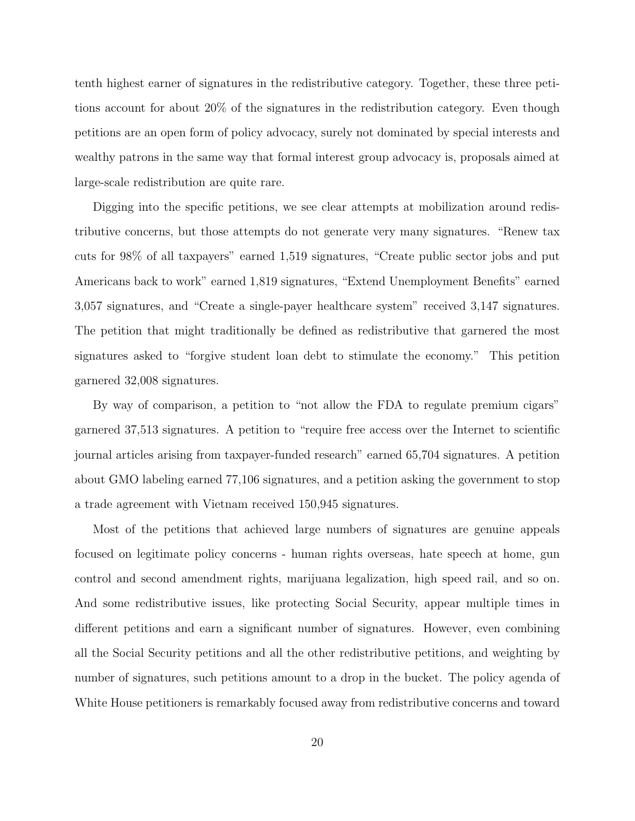tenth highest earner of signatures in the redistributive category. Together, these three petitions account for about 20% of the signatures in the redistribution category. Even though petitions are an open form of policy advocacy, surely not dominated by special interests and wealthy patrons in the same way that formal interest group advocacy is, proposals aimed at large-scale redistribution are quite rare.

Digging into the specific petitions, we see clear attempts at mobilization around redistributive concerns, but those attempts do not generate very many signatures. "Renew tax cuts for 98% of all taxpayers" earned 1,519 signatures, "Create public sector jobs and put Americans back to work" earned 1,819 signatures, "Extend Unemployment Benefits" earned 3,057 signatures, and "Create a single-payer healthcare system" received 3,147 signatures. The petition that might traditionally be defined as redistributive that garnered the most signatures asked to "forgive student loan debt to stimulate the economy." This petition garnered 32,008 signatures.

By way of comparison, a petition to "not allow the FDA to regulate premium cigars" garnered 37,513 signatures. A petition to "require free access over the Internet to scientific journal articles arising from taxpayer-funded research" earned 65,704 signatures. A petition about GMO labeling earned 77,106 signatures, and a petition asking the government to stop a trade agreement with Vietnam received 150,945 signatures.

Most of the petitions that achieved large numbers of signatures are genuine appeals focused on legitimate policy concerns - human rights overseas, hate speech at home, gun control and second amendment rights, marijuana legalization, high speed rail, and so on. And some redistributive issues, like protecting Social Security, appear multiple times in different petitions and earn a significant number of signatures. However, even combining all the Social Security petitions and all the other redistributive petitions, and weighting by number of signatures, such petitions amount to a drop in the bucket. The policy agenda of White House petitioners is remarkably focused away from redistributive concerns and toward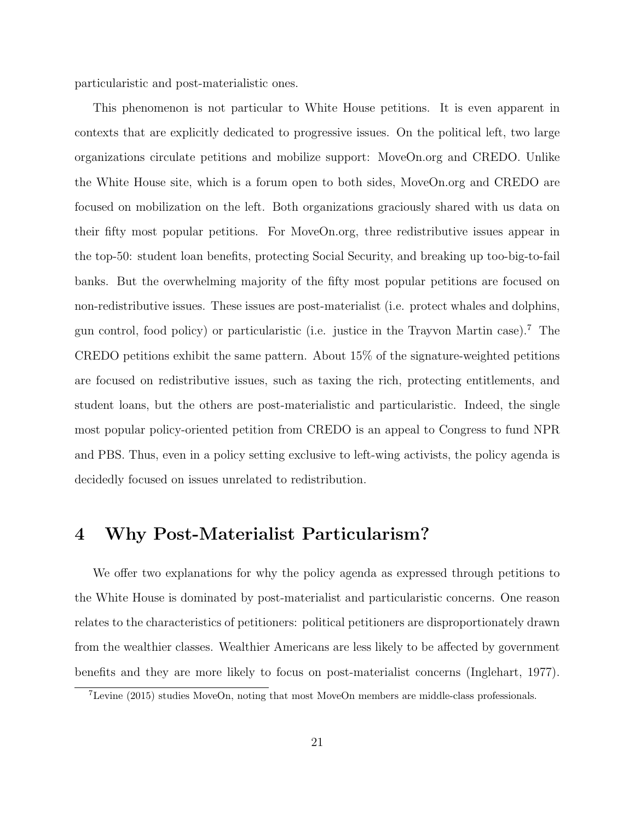particularistic and post-materialistic ones.

This phenomenon is not particular to White House petitions. It is even apparent in contexts that are explicitly dedicated to progressive issues. On the political left, two large organizations circulate petitions and mobilize support: MoveOn.org and CREDO. Unlike the White House site, which is a forum open to both sides, MoveOn.org and CREDO are focused on mobilization on the left. Both organizations graciously shared with us data on their fifty most popular petitions. For MoveOn.org, three redistributive issues appear in the top-50: student loan benefits, protecting Social Security, and breaking up too-big-to-fail banks. But the overwhelming majority of the fifty most popular petitions are focused on non-redistributive issues. These issues are post-materialist (i.e. protect whales and dolphins, gun control, food policy) or particularistic (i.e. justice in the Trayvon Martin case).<sup>7</sup> The CREDO petitions exhibit the same pattern. About 15% of the signature-weighted petitions are focused on redistributive issues, such as taxing the rich, protecting entitlements, and student loans, but the others are post-materialistic and particularistic. Indeed, the single most popular policy-oriented petition from CREDO is an appeal to Congress to fund NPR and PBS. Thus, even in a policy setting exclusive to left-wing activists, the policy agenda is decidedly focused on issues unrelated to redistribution.

### 4 Why Post-Materialist Particularism?

We offer two explanations for why the policy agenda as expressed through petitions to the White House is dominated by post-materialist and particularistic concerns. One reason relates to the characteristics of petitioners: political petitioners are disproportionately drawn from the wealthier classes. Wealthier Americans are less likely to be affected by government benefits and they are more likely to focus on post-materialist concerns (Inglehart, 1977).

 $7$ Levine (2015) studies MoveOn, noting that most MoveOn members are middle-class professionals.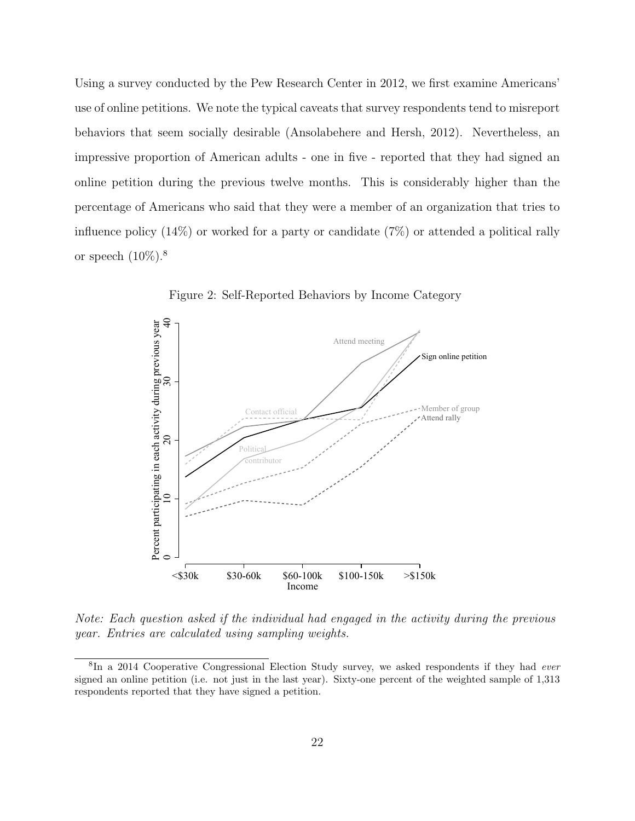Using a survey conducted by the Pew Research Center in 2012, we first examine Americans' use of online petitions. We note the typical caveats that survey respondents tend to misreport behaviors that seem socially desirable (Ansolabehere and Hersh, 2012). Nevertheless, an impressive proportion of American adults - one in five - reported that they had signed an online petition during the previous twelve months. This is considerably higher than the percentage of Americans who said that they were a member of an organization that tries to influence policy (14%) or worked for a party or candidate (7%) or attended a political rally or speech  $(10\%)$ .<sup>8</sup>



Figure 2: Self-Reported Behaviors by Income Category

Note: Each question asked if the individual had engaged in the activity during the previous year. Entries are calculated using sampling weights.

<sup>&</sup>lt;sup>8</sup>In a 2014 Cooperative Congressional Election Study survey, we asked respondents if they had ever signed an online petition (i.e. not just in the last year). Sixty-one percent of the weighted sample of 1,313 respondents reported that they have signed a petition.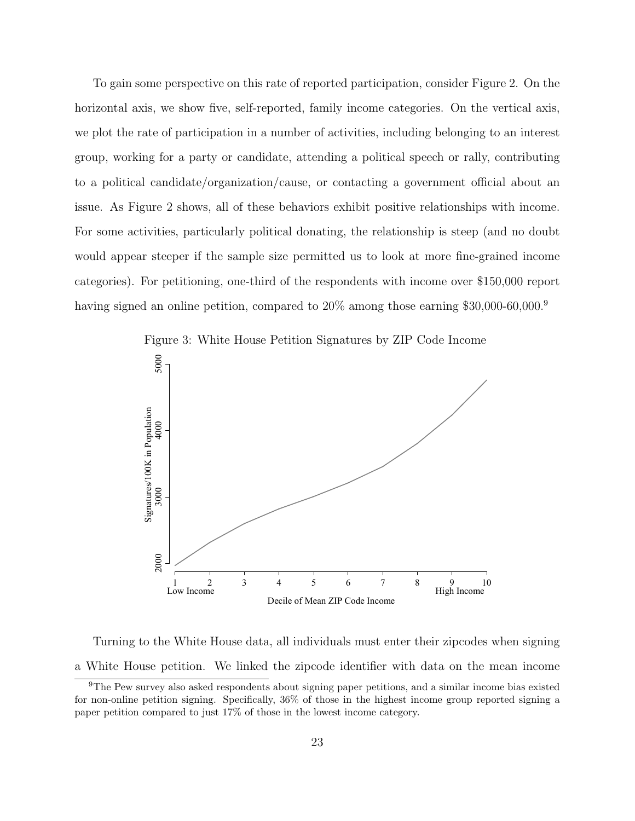To gain some perspective on this rate of reported participation, consider Figure 2. On the horizontal axis, we show five, self-reported, family income categories. On the vertical axis, we plot the rate of participation in a number of activities, including belonging to an interest group, working for a party or candidate, attending a political speech or rally, contributing to a political candidate/organization/cause, or contacting a government official about an issue. As Figure 2 shows, all of these behaviors exhibit positive relationships with income. For some activities, particularly political donating, the relationship is steep (and no doubt would appear steeper if the sample size permitted us to look at more fine-grained income categories). For petitioning, one-third of the respondents with income over \$150,000 report having signed an online petition, compared to 20% among those earning \$30,000-60,000.<sup>9</sup>



Figure 3: White House Petition Signatures by ZIP Code Income

Turning to the White House data, all individuals must enter their zipcodes when signing

a White House petition. We linked the zipcode identifier with data on the mean income

<sup>&</sup>lt;sup>9</sup>The Pew survey also asked respondents about signing paper petitions, and a similar income bias existed for non-online petition signing. Specifically, 36% of those in the highest income group reported signing a paper petition compared to just 17% of those in the lowest income category.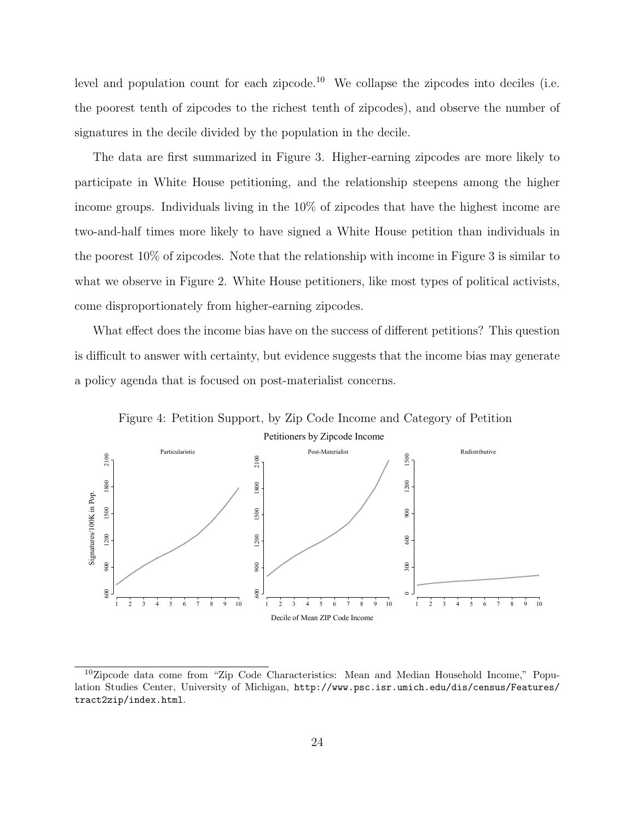level and population count for each zipcode.<sup>10</sup> We collapse the zipcodes into deciles (i.e. the poorest tenth of zipcodes to the richest tenth of zipcodes), and observe the number of signatures in the decile divided by the population in the decile.

The data are first summarized in Figure 3. Higher-earning zipcodes are more likely to participate in White House petitioning, and the relationship steepens among the higher income groups. Individuals living in the 10% of zipcodes that have the highest income are two-and-half times more likely to have signed a White House petition than individuals in the poorest 10% of zipcodes. Note that the relationship with income in Figure 3 is similar to what we observe in Figure 2. White House petitioners, like most types of political activists, come disproportionately from higher-earning zipcodes.

What effect does the income bias have on the success of different petitions? This question is difficult to answer with certainty, but evidence suggests that the income bias may generate a policy agenda that is focused on post-materialist concerns.





 $10Zipcode$  data come from "Zip Code Characteristics: Mean and Median Household Income," Population Studies Center, University of Michigan, http://www.psc.isr.umich.edu/dis/census/Features/ tract2zip/index.html.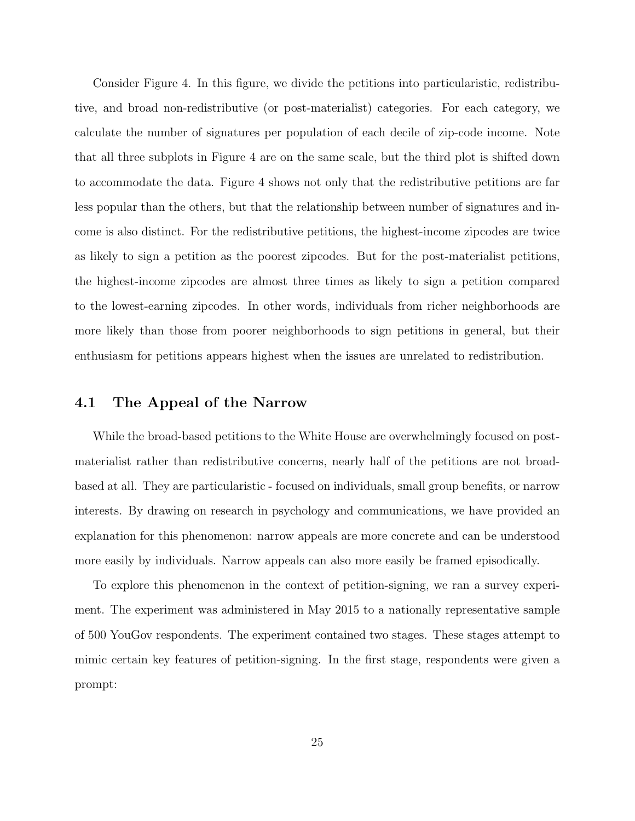Consider Figure 4. In this figure, we divide the petitions into particularistic, redistributive, and broad non-redistributive (or post-materialist) categories. For each category, we calculate the number of signatures per population of each decile of zip-code income. Note that all three subplots in Figure 4 are on the same scale, but the third plot is shifted down to accommodate the data. Figure 4 shows not only that the redistributive petitions are far less popular than the others, but that the relationship between number of signatures and income is also distinct. For the redistributive petitions, the highest-income zipcodes are twice as likely to sign a petition as the poorest zipcodes. But for the post-materialist petitions, the highest-income zipcodes are almost three times as likely to sign a petition compared to the lowest-earning zipcodes. In other words, individuals from richer neighborhoods are more likely than those from poorer neighborhoods to sign petitions in general, but their enthusiasm for petitions appears highest when the issues are unrelated to redistribution.

#### 4.1 The Appeal of the Narrow

While the broad-based petitions to the White House are overwhelmingly focused on postmaterialist rather than redistributive concerns, nearly half of the petitions are not broadbased at all. They are particularistic - focused on individuals, small group benefits, or narrow interests. By drawing on research in psychology and communications, we have provided an explanation for this phenomenon: narrow appeals are more concrete and can be understood more easily by individuals. Narrow appeals can also more easily be framed episodically.

To explore this phenomenon in the context of petition-signing, we ran a survey experiment. The experiment was administered in May 2015 to a nationally representative sample of 500 YouGov respondents. The experiment contained two stages. These stages attempt to mimic certain key features of petition-signing. In the first stage, respondents were given a prompt: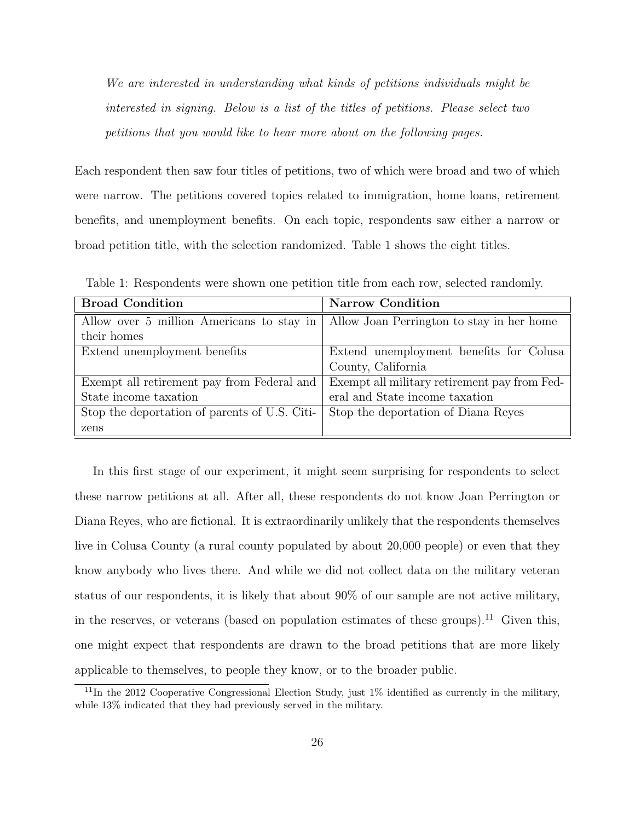We are interested in understanding what kinds of petitions individuals might be interested in signing. Below is a list of the titles of petitions. Please select two petitions that you would like to hear more about on the following pages.

Each respondent then saw four titles of petitions, two of which were broad and two of which were narrow. The petitions covered topics related to immigration, home loans, retirement benefits, and unemployment benefits. On each topic, respondents saw either a narrow or broad petition title, with the selection randomized. Table 1 shows the eight titles.

| <b>Broad Condition</b>                        | <b>Narrow Condition</b>                      |
|-----------------------------------------------|----------------------------------------------|
| Allow over 5 million Americans to stay in     | Allow Joan Perrington to stay in her home    |
| their homes                                   |                                              |
| Extend unemployment benefits                  | Extend unemployment benefits for Colusa      |
|                                               | County, California                           |
| Exempt all retirement pay from Federal and    | Exempt all military retirement pay from Fed- |
| State income taxation                         | eral and State income taxation               |
| Stop the deportation of parents of U.S. Citi- | Stop the deportation of Diana Reyes          |
| zens                                          |                                              |

Table 1: Respondents were shown one petition title from each row, selected randomly.

In this first stage of our experiment, it might seem surprising for respondents to select these narrow petitions at all. After all, these respondents do not know Joan Perrington or Diana Reyes, who are fictional. It is extraordinarily unlikely that the respondents themselves live in Colusa County (a rural county populated by about 20,000 people) or even that they know anybody who lives there. And while we did not collect data on the military veteran status of our respondents, it is likely that about 90% of our sample are not active military, in the reserves, or veterans (based on population estimates of these groups).<sup>11</sup> Given this, one might expect that respondents are drawn to the broad petitions that are more likely applicable to themselves, to people they know, or to the broader public.

 $11$ In the 2012 Cooperative Congressional Election Study, just  $1\%$  identified as currently in the military, while 13% indicated that they had previously served in the military.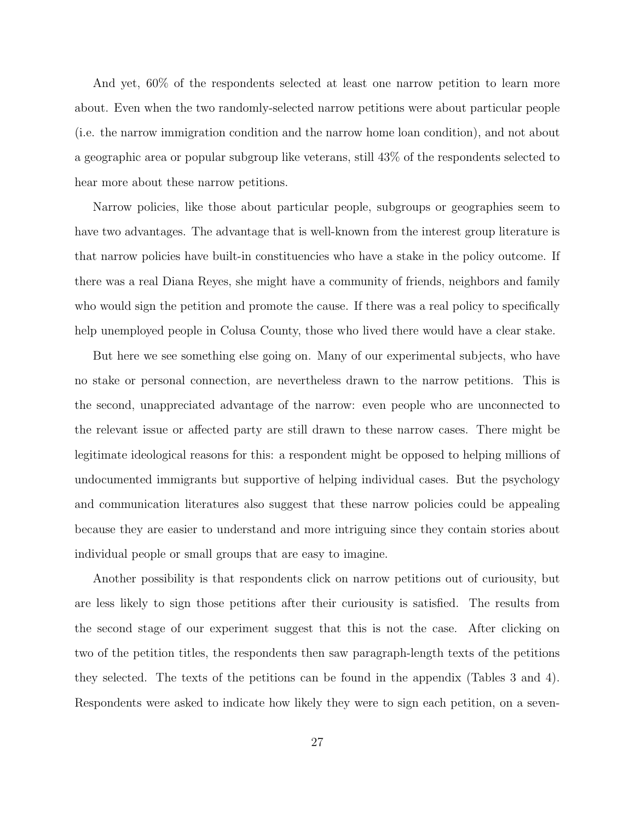And yet, 60% of the respondents selected at least one narrow petition to learn more about. Even when the two randomly-selected narrow petitions were about particular people (i.e. the narrow immigration condition and the narrow home loan condition), and not about a geographic area or popular subgroup like veterans, still 43% of the respondents selected to hear more about these narrow petitions.

Narrow policies, like those about particular people, subgroups or geographies seem to have two advantages. The advantage that is well-known from the interest group literature is that narrow policies have built-in constituencies who have a stake in the policy outcome. If there was a real Diana Reyes, she might have a community of friends, neighbors and family who would sign the petition and promote the cause. If there was a real policy to specifically help unemployed people in Colusa County, those who lived there would have a clear stake.

But here we see something else going on. Many of our experimental subjects, who have no stake or personal connection, are nevertheless drawn to the narrow petitions. This is the second, unappreciated advantage of the narrow: even people who are unconnected to the relevant issue or affected party are still drawn to these narrow cases. There might be legitimate ideological reasons for this: a respondent might be opposed to helping millions of undocumented immigrants but supportive of helping individual cases. But the psychology and communication literatures also suggest that these narrow policies could be appealing because they are easier to understand and more intriguing since they contain stories about individual people or small groups that are easy to imagine.

Another possibility is that respondents click on narrow petitions out of curiousity, but are less likely to sign those petitions after their curiousity is satisfied. The results from the second stage of our experiment suggest that this is not the case. After clicking on two of the petition titles, the respondents then saw paragraph-length texts of the petitions they selected. The texts of the petitions can be found in the appendix (Tables 3 and 4). Respondents were asked to indicate how likely they were to sign each petition, on a seven-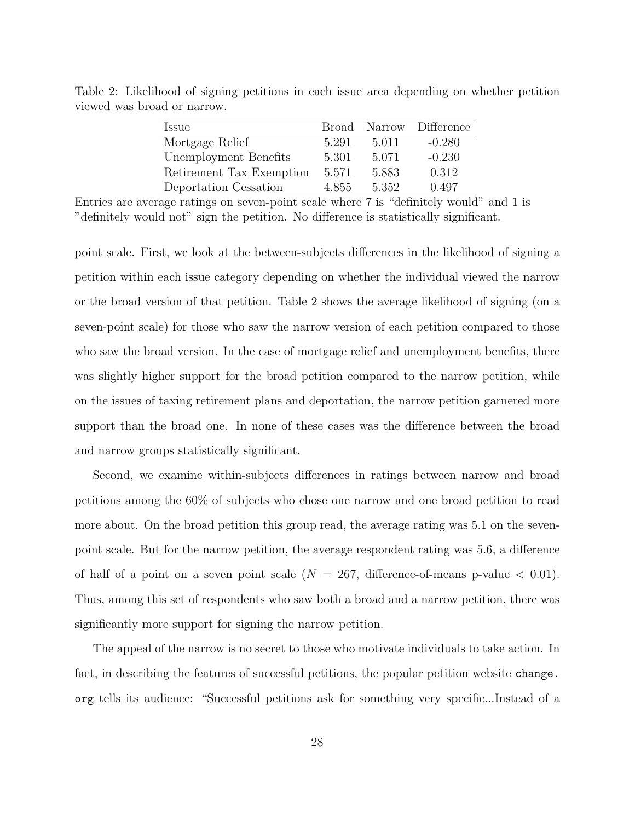| Issue                    | Broad |       | Narrow Difference |
|--------------------------|-------|-------|-------------------|
| Mortgage Relief          | 5.291 | 5.011 | $-0.280$          |
| Unemployment Benefits    | 5.301 | 5.071 | $-0.230$          |
| Retirement Tax Exemption | 5.571 | 5.883 | 0.312             |
| Deportation Cessation    | 4.855 | 5.352 | 0.497             |

Table 2: Likelihood of signing petitions in each issue area depending on whether petition viewed was broad or narrow.

Entries are average ratings on seven-point scale where 7 is "definitely would" and 1 is "definitely would not" sign the petition. No difference is statistically significant.

point scale. First, we look at the between-subjects differences in the likelihood of signing a petition within each issue category depending on whether the individual viewed the narrow or the broad version of that petition. Table 2 shows the average likelihood of signing (on a seven-point scale) for those who saw the narrow version of each petition compared to those who saw the broad version. In the case of mortgage relief and unemployment benefits, there was slightly higher support for the broad petition compared to the narrow petition, while on the issues of taxing retirement plans and deportation, the narrow petition garnered more support than the broad one. In none of these cases was the difference between the broad and narrow groups statistically significant.

Second, we examine within-subjects differences in ratings between narrow and broad petitions among the 60% of subjects who chose one narrow and one broad petition to read more about. On the broad petition this group read, the average rating was 5.1 on the sevenpoint scale. But for the narrow petition, the average respondent rating was 5.6, a difference of half of a point on a seven point scale  $(N = 267,$  difference-of-means p-value  $\lt 0.01$ . Thus, among this set of respondents who saw both a broad and a narrow petition, there was significantly more support for signing the narrow petition.

The appeal of the narrow is no secret to those who motivate individuals to take action. In fact, in describing the features of successful petitions, the popular petition website change. org tells its audience: "Successful petitions ask for something very specific...Instead of a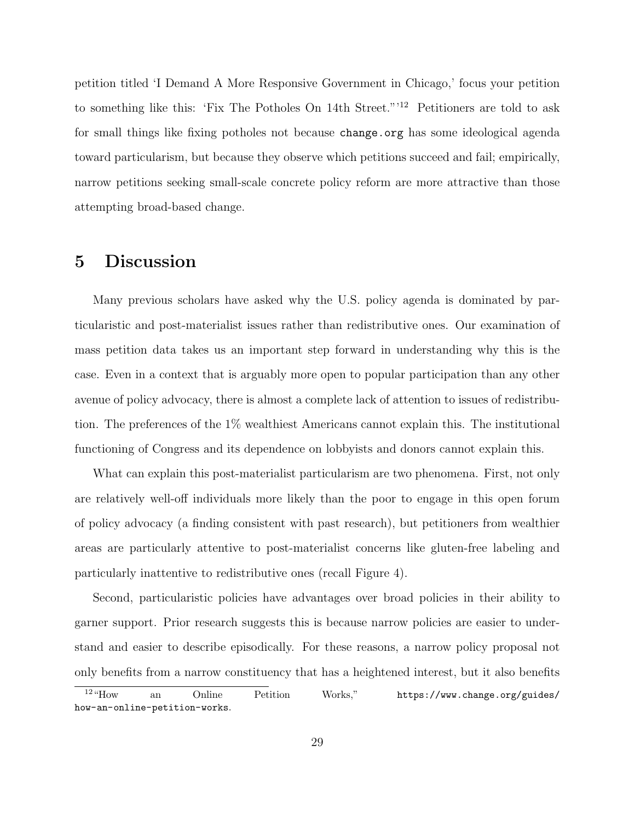petition titled 'I Demand A More Responsive Government in Chicago,' focus your petition to something like this: 'Fix The Potholes On 14th Street."'<sup>12</sup> Petitioners are told to ask for small things like fixing potholes not because change.org has some ideological agenda toward particularism, but because they observe which petitions succeed and fail; empirically, narrow petitions seeking small-scale concrete policy reform are more attractive than those attempting broad-based change.

### 5 Discussion

Many previous scholars have asked why the U.S. policy agenda is dominated by particularistic and post-materialist issues rather than redistributive ones. Our examination of mass petition data takes us an important step forward in understanding why this is the case. Even in a context that is arguably more open to popular participation than any other avenue of policy advocacy, there is almost a complete lack of attention to issues of redistribution. The preferences of the 1% wealthiest Americans cannot explain this. The institutional functioning of Congress and its dependence on lobbyists and donors cannot explain this.

What can explain this post-materialist particularism are two phenomena. First, not only are relatively well-off individuals more likely than the poor to engage in this open forum of policy advocacy (a finding consistent with past research), but petitioners from wealthier areas are particularly attentive to post-materialist concerns like gluten-free labeling and particularly inattentive to redistributive ones (recall Figure 4).

Second, particularistic policies have advantages over broad policies in their ability to garner support. Prior research suggests this is because narrow policies are easier to understand and easier to describe episodically. For these reasons, a narrow policy proposal not only benefits from a narrow constituency that has a heightened interest, but it also benefits

<sup>12</sup>"How an Online Petition Works," https://www.change.org/guides/ how-an-online-petition-works.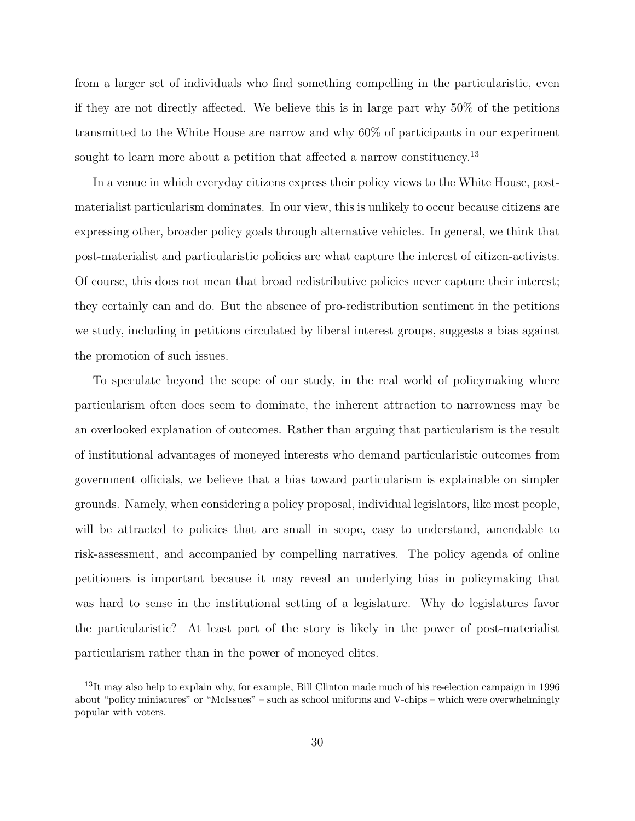from a larger set of individuals who find something compelling in the particularistic, even if they are not directly affected. We believe this is in large part why 50% of the petitions transmitted to the White House are narrow and why 60% of participants in our experiment sought to learn more about a petition that affected a narrow constituency.<sup>13</sup>

In a venue in which everyday citizens express their policy views to the White House, postmaterialist particularism dominates. In our view, this is unlikely to occur because citizens are expressing other, broader policy goals through alternative vehicles. In general, we think that post-materialist and particularistic policies are what capture the interest of citizen-activists. Of course, this does not mean that broad redistributive policies never capture their interest; they certainly can and do. But the absence of pro-redistribution sentiment in the petitions we study, including in petitions circulated by liberal interest groups, suggests a bias against the promotion of such issues.

To speculate beyond the scope of our study, in the real world of policymaking where particularism often does seem to dominate, the inherent attraction to narrowness may be an overlooked explanation of outcomes. Rather than arguing that particularism is the result of institutional advantages of moneyed interests who demand particularistic outcomes from government officials, we believe that a bias toward particularism is explainable on simpler grounds. Namely, when considering a policy proposal, individual legislators, like most people, will be attracted to policies that are small in scope, easy to understand, amendable to risk-assessment, and accompanied by compelling narratives. The policy agenda of online petitioners is important because it may reveal an underlying bias in policymaking that was hard to sense in the institutional setting of a legislature. Why do legislatures favor the particularistic? At least part of the story is likely in the power of post-materialist particularism rather than in the power of moneyed elites.

<sup>&</sup>lt;sup>13</sup>It may also help to explain why, for example, Bill Clinton made much of his re-election campaign in 1996 about "policy miniatures" or "McIssues" – such as school uniforms and V-chips – which were overwhelmingly popular with voters.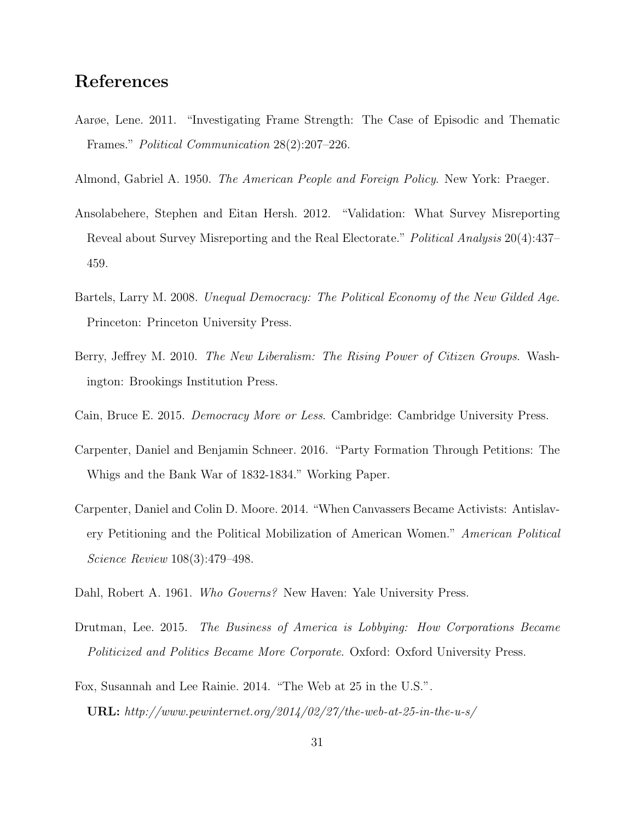### References

- Aarøe, Lene. 2011. "Investigating Frame Strength: The Case of Episodic and Thematic Frames." Political Communication 28(2):207–226.
- Almond, Gabriel A. 1950. The American People and Foreign Policy. New York: Praeger.
- Ansolabehere, Stephen and Eitan Hersh. 2012. "Validation: What Survey Misreporting Reveal about Survey Misreporting and the Real Electorate." Political Analysis 20(4):437– 459.
- Bartels, Larry M. 2008. Unequal Democracy: The Political Economy of the New Gilded Age. Princeton: Princeton University Press.
- Berry, Jeffrey M. 2010. The New Liberalism: The Rising Power of Citizen Groups. Washington: Brookings Institution Press.
- Cain, Bruce E. 2015. Democracy More or Less. Cambridge: Cambridge University Press.
- Carpenter, Daniel and Benjamin Schneer. 2016. "Party Formation Through Petitions: The Whigs and the Bank War of 1832-1834." Working Paper.
- Carpenter, Daniel and Colin D. Moore. 2014. "When Canvassers Became Activists: Antislavery Petitioning and the Political Mobilization of American Women." American Political Science Review 108(3):479–498.
- Dahl, Robert A. 1961. Who Governs? New Haven: Yale University Press.
- Drutman, Lee. 2015. The Business of America is Lobbying: How Corporations Became Politicized and Politics Became More Corporate. Oxford: Oxford University Press.
- Fox, Susannah and Lee Rainie. 2014. "The Web at 25 in the U.S.". URL: http://www.pewinternet.org/2014/02/27/the-web-at-25-in-the-u-s/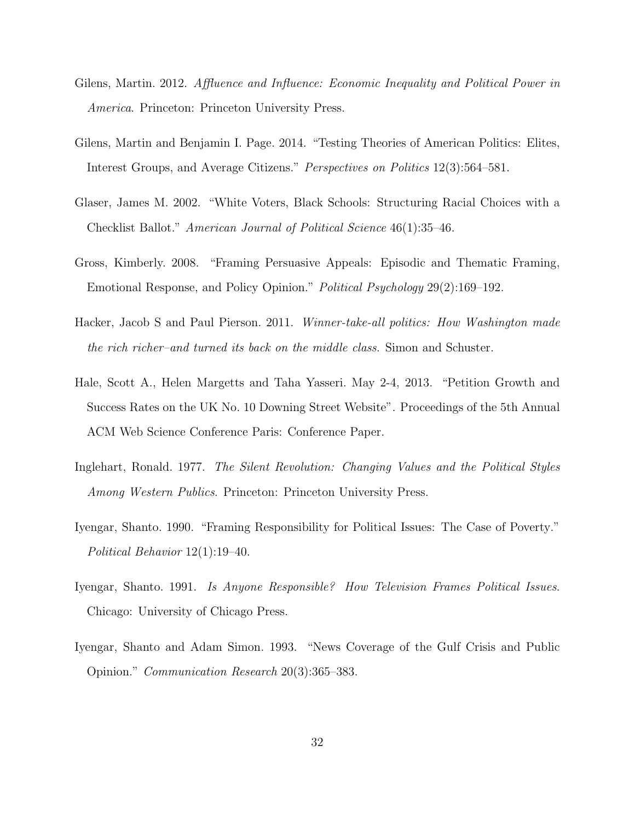- Gilens, Martin. 2012. Affluence and Influence: Economic Inequality and Political Power in America. Princeton: Princeton University Press.
- Gilens, Martin and Benjamin I. Page. 2014. "Testing Theories of American Politics: Elites, Interest Groups, and Average Citizens." Perspectives on Politics 12(3):564–581.
- Glaser, James M. 2002. "White Voters, Black Schools: Structuring Racial Choices with a Checklist Ballot." American Journal of Political Science 46(1):35–46.
- Gross, Kimberly. 2008. "Framing Persuasive Appeals: Episodic and Thematic Framing, Emotional Response, and Policy Opinion." Political Psychology 29(2):169–192.
- Hacker, Jacob S and Paul Pierson. 2011. Winner-take-all politics: How Washington made the rich richer–and turned its back on the middle class. Simon and Schuster.
- Hale, Scott A., Helen Margetts and Taha Yasseri. May 2-4, 2013. "Petition Growth and Success Rates on the UK No. 10 Downing Street Website". Proceedings of the 5th Annual ACM Web Science Conference Paris: Conference Paper.
- Inglehart, Ronald. 1977. The Silent Revolution: Changing Values and the Political Styles Among Western Publics. Princeton: Princeton University Press.
- Iyengar, Shanto. 1990. "Framing Responsibility for Political Issues: The Case of Poverty." Political Behavior 12(1):19–40.
- Iyengar, Shanto. 1991. Is Anyone Responsible? How Television Frames Political Issues. Chicago: University of Chicago Press.
- Iyengar, Shanto and Adam Simon. 1993. "News Coverage of the Gulf Crisis and Public Opinion." Communication Research 20(3):365–383.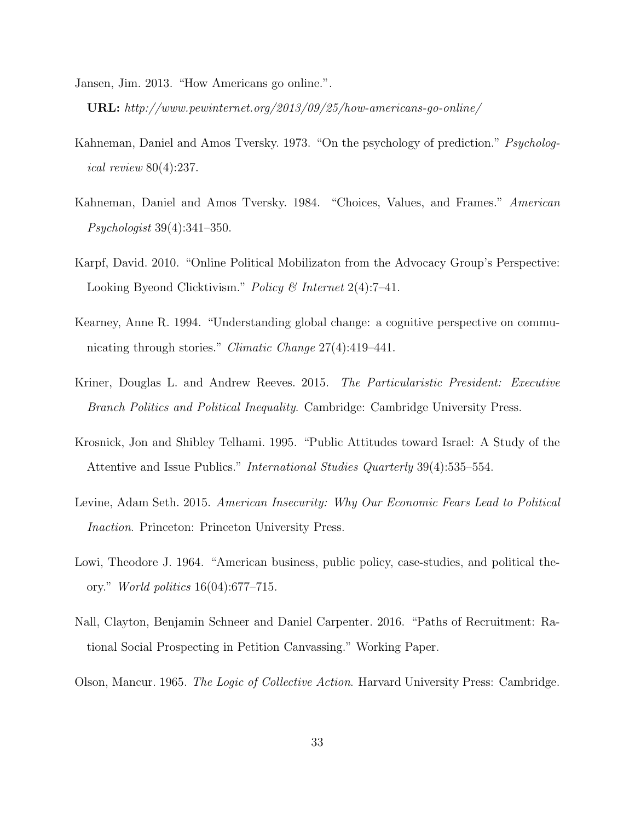Jansen, Jim. 2013. "How Americans go online.".

URL: http://www.pewinternet.org/2013/09/25/how-americans-go-online/

- Kahneman, Daniel and Amos Tversky. 1973. "On the psychology of prediction." *Psycholog*ical review 80(4):237.
- Kahneman, Daniel and Amos Tversky. 1984. "Choices, Values, and Frames." American Psychologist 39(4):341–350.
- Karpf, David. 2010. "Online Political Mobilizaton from the Advocacy Group's Perspective: Looking Byeond Clicktivism." Policy & Internet  $2(4)$ :7-41.
- Kearney, Anne R. 1994. "Understanding global change: a cognitive perspective on communicating through stories." *Climatic Change* 27(4):419–441.
- Kriner, Douglas L. and Andrew Reeves. 2015. The Particularistic President: Executive Branch Politics and Political Inequality. Cambridge: Cambridge University Press.
- Krosnick, Jon and Shibley Telhami. 1995. "Public Attitudes toward Israel: A Study of the Attentive and Issue Publics." International Studies Quarterly 39(4):535–554.
- Levine, Adam Seth. 2015. American Insecurity: Why Our Economic Fears Lead to Political Inaction. Princeton: Princeton University Press.
- Lowi, Theodore J. 1964. "American business, public policy, case-studies, and political theory." World politics 16(04):677–715.
- Nall, Clayton, Benjamin Schneer and Daniel Carpenter. 2016. "Paths of Recruitment: Rational Social Prospecting in Petition Canvassing." Working Paper.
- Olson, Mancur. 1965. The Logic of Collective Action. Harvard University Press: Cambridge.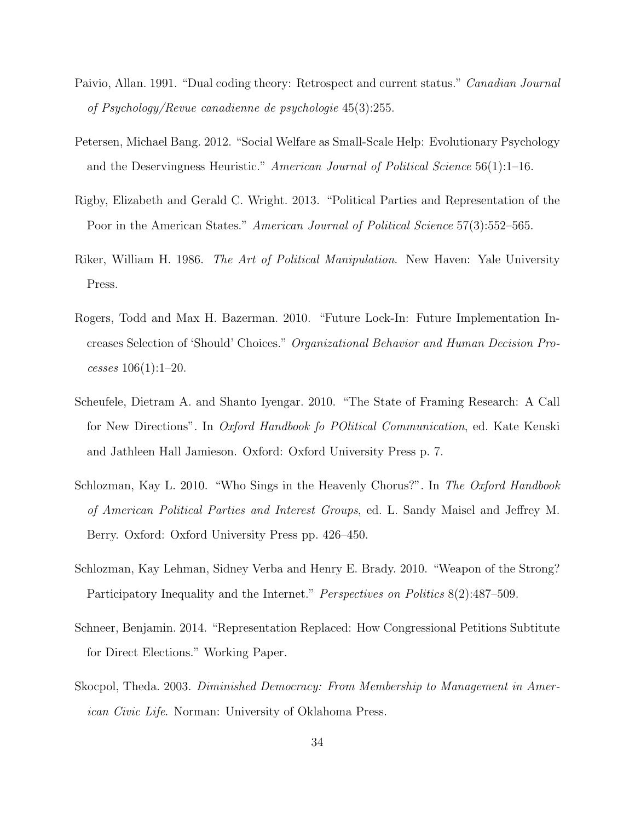- Paivio, Allan. 1991. "Dual coding theory: Retrospect and current status." Canadian Journal of Psychology/Revue canadienne de psychologie 45(3):255.
- Petersen, Michael Bang. 2012. "Social Welfare as Small-Scale Help: Evolutionary Psychology and the Deservingness Heuristic." American Journal of Political Science 56(1):1–16.
- Rigby, Elizabeth and Gerald C. Wright. 2013. "Political Parties and Representation of the Poor in the American States." American Journal of Political Science 57(3):552–565.
- Riker, William H. 1986. *The Art of Political Manipulation*. New Haven: Yale University Press.
- Rogers, Todd and Max H. Bazerman. 2010. "Future Lock-In: Future Implementation Increases Selection of 'Should' Choices." Organizational Behavior and Human Decision Processes 106(1):1–20.
- Scheufele, Dietram A. and Shanto Iyengar. 2010. "The State of Framing Research: A Call for New Directions". In Oxford Handbook fo POlitical Communication, ed. Kate Kenski and Jathleen Hall Jamieson. Oxford: Oxford University Press p. 7.
- Schlozman, Kay L. 2010. "Who Sings in the Heavenly Chorus?". In The Oxford Handbook of American Political Parties and Interest Groups, ed. L. Sandy Maisel and Jeffrey M. Berry. Oxford: Oxford University Press pp. 426–450.
- Schlozman, Kay Lehman, Sidney Verba and Henry E. Brady. 2010. "Weapon of the Strong? Participatory Inequality and the Internet." *Perspectives on Politics* 8(2):487–509.
- Schneer, Benjamin. 2014. "Representation Replaced: How Congressional Petitions Subtitute for Direct Elections." Working Paper.
- Skocpol, Theda. 2003. Diminished Democracy: From Membership to Management in American Civic Life. Norman: University of Oklahoma Press.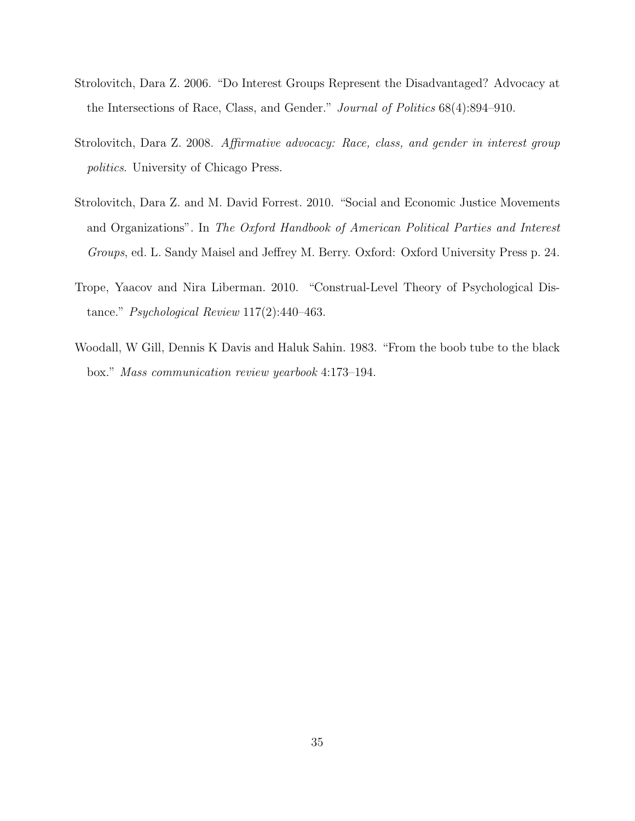- Strolovitch, Dara Z. 2006. "Do Interest Groups Represent the Disadvantaged? Advocacy at the Intersections of Race, Class, and Gender." Journal of Politics 68(4):894–910.
- Strolovitch, Dara Z. 2008. Affirmative advocacy: Race, class, and gender in interest group politics. University of Chicago Press.
- Strolovitch, Dara Z. and M. David Forrest. 2010. "Social and Economic Justice Movements and Organizations". In The Oxford Handbook of American Political Parties and Interest Groups, ed. L. Sandy Maisel and Jeffrey M. Berry. Oxford: Oxford University Press p. 24.
- Trope, Yaacov and Nira Liberman. 2010. "Construal-Level Theory of Psychological Distance." Psychological Review 117(2):440–463.
- Woodall, W Gill, Dennis K Davis and Haluk Sahin. 1983. "From the boob tube to the black box." Mass communication review yearbook 4:173–194.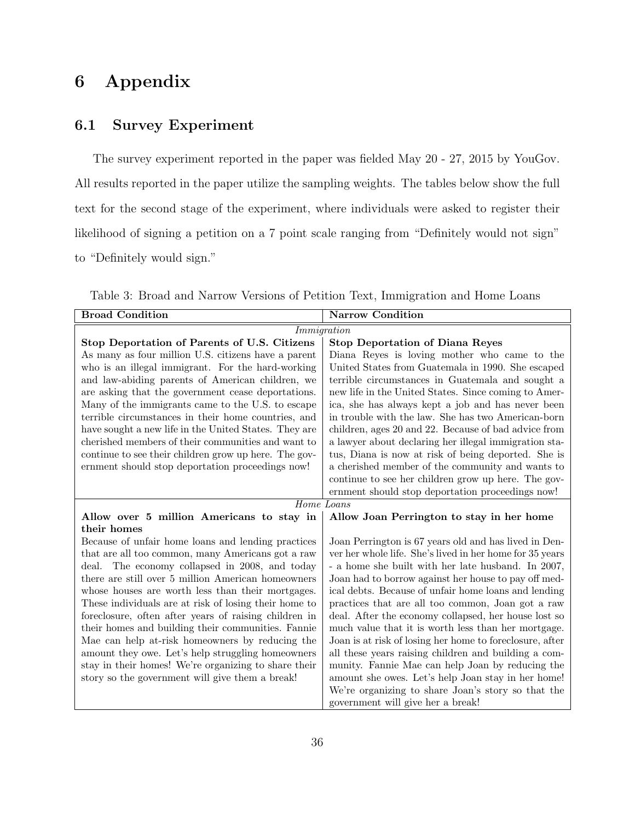## 6 Appendix

#### 6.1 Survey Experiment

The survey experiment reported in the paper was fielded May 20 - 27, 2015 by YouGov. All results reported in the paper utilize the sampling weights. The tables below show the full text for the second stage of the experiment, where individuals were asked to register their likelihood of signing a petition on a 7 point scale ranging from "Definitely would not sign" to "Definitely would sign."

| <b>Broad Condition</b>                                                                                    | <b>Narrow Condition</b>                                                                                          |  |  |
|-----------------------------------------------------------------------------------------------------------|------------------------------------------------------------------------------------------------------------------|--|--|
| Immigration                                                                                               |                                                                                                                  |  |  |
| Stop Deportation of Parents of U.S. Citizens                                                              | <b>Stop Deportation of Diana Reyes</b>                                                                           |  |  |
| As many as four million U.S. citizens have a parent                                                       | Diana Reyes is loving mother who came to the                                                                     |  |  |
| who is an illegal immigrant. For the hard-working                                                         | United States from Guatemala in 1990. She escaped                                                                |  |  |
| and law-abiding parents of American children, we                                                          | terrible circumstances in Guatemala and sought a                                                                 |  |  |
| are asking that the government cease deportations.                                                        | new life in the United States. Since coming to Amer-                                                             |  |  |
| Many of the immigrants came to the U.S. to escape                                                         | ica, she has always kept a job and has never been                                                                |  |  |
| terrible circumstances in their home countries, and                                                       | in trouble with the law. She has two American-born                                                               |  |  |
| have sought a new life in the United States. They are                                                     | children, ages 20 and 22. Because of bad advice from                                                             |  |  |
| cherished members of their communities and want to                                                        | a lawyer about declaring her illegal immigration sta-                                                            |  |  |
| continue to see their children grow up here. The gov-                                                     | tus, Diana is now at risk of being deported. She is                                                              |  |  |
| ernment should stop deportation proceedings now!                                                          | a cherished member of the community and wants to                                                                 |  |  |
|                                                                                                           | continue to see her children grow up here. The gov-                                                              |  |  |
|                                                                                                           | ernment should stop deportation proceedings now!                                                                 |  |  |
| Home Loans                                                                                                |                                                                                                                  |  |  |
| Allow over 5 million Americans to stay in                                                                 | Allow Joan Perrington to stay in her home                                                                        |  |  |
| their homes                                                                                               |                                                                                                                  |  |  |
| Because of unfair home loans and lending practices                                                        | Joan Perrington is 67 years old and has lived in Den-                                                            |  |  |
| that are all too common, many Americans got a raw                                                         | ver her whole life. She's lived in her home for 35 years                                                         |  |  |
| The economy collapsed in 2008, and today<br>deal.                                                         | - a home she built with her late husband. In 2007,                                                               |  |  |
| there are still over 5 million American homeowners                                                        | Joan had to borrow against her house to pay off med-                                                             |  |  |
| whose houses are worth less than their mortgages.                                                         | ical debts. Because of unfair home loans and lending                                                             |  |  |
| These individuals are at risk of losing their home to                                                     | practices that are all too common, Joan got a raw                                                                |  |  |
| foreclosure, often after years of raising children in                                                     | deal. After the economy collapsed, her house lost so                                                             |  |  |
| their homes and building their communities. Fannie                                                        | much value that it is worth less than her mortgage.                                                              |  |  |
| Mae can help at-risk homeowners by reducing the                                                           | Joan is at risk of losing her home to foreclosure, after<br>all these years raising children and building a com- |  |  |
| amount they owe. Let's help struggling homeowners<br>stay in their homes! We're organizing to share their | munity. Fannie Mae can help Joan by reducing the                                                                 |  |  |
| story so the government will give them a break!                                                           | amount she owes. Let's help Joan stay in her home!                                                               |  |  |
|                                                                                                           | We're organizing to share Joan's story so that the                                                               |  |  |
|                                                                                                           | government will give her a break!                                                                                |  |  |
|                                                                                                           |                                                                                                                  |  |  |

Table 3: Broad and Narrow Versions of Petition Text, Immigration and Home Loans